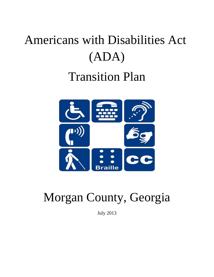# Americans with Disabilities Act (ADA) Transition Plan



## Morgan County, Georgia

July 2013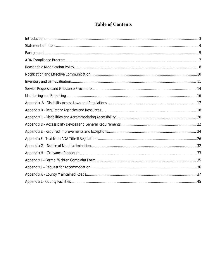## **Table of Contents**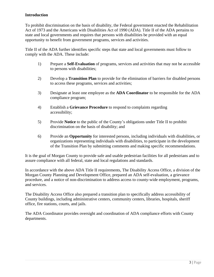#### **Introduction**

To prohibit discrimination on the basis of disability, the Federal government enacted the Rehabilitation Act of 1973 and the Americans with Disabilities Act of 1990 (ADA). Title II of the ADA pertains to state and local governments and requires that persons with disabilities be provided with an equal opportunity to benefit from government programs, services and activities.

Title II of the ADA further identifies specific steps that state and local governments must follow to comply with the ADA. These include:

- 1) Prepare a **Self-Evaluation** of programs, services and activities that may not be accessible to persons with disabilities;
- 2) Develop a **Transition Plan** to provide for the elimination of barriers for disabled persons to access these programs, services and activities;
- 3) Designate at least one employee as the **ADA Coordinator** to be responsible for the ADA compliance program;
- 4) Establish a **Grievance Procedure** to respond to complaints regarding accessibility;
- 5) Provide **Notice** to the public of the County's obligations under Title II to prohibit discrimination on the basis of disability; and
- 6) Provide an **Opportunity** for interested persons, including individuals with disabilities, or organizations representing individuals with disabilities, to participate in the development of the Transition Plan by submitting comments and making specific recommendations.

It is the goal of Morgan County to provide safe and usable pedestrian facilities for all pedestrians and to assure compliance with all federal, state and local regulations and standards.

In accordance with the above ADA Title II requirements, The Disability Access Office, a division of the Morgan County Planning and Development Office, prepared an ADA self-evaluation, a grievance procedure, and a notice of non-discrimination to address access to county-wide employment, programs, and services.

The Disability Access Office also prepared a transition plan to specifically address accessibility of County buildings, including administrative centers, community centers, libraries, hospitals, sheriff office, fire stations, courts, and jails.

The ADA Coordinator provides oversight and coordination of ADA compliance efforts with County departments.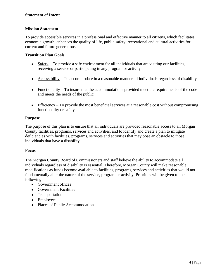#### <span id="page-3-0"></span>**Statement of Intent**

#### **Mission Statement**

To provide accessible services in a professional and effective manner to all citizens, which facilitates economic growth, enhances the quality of life, public safety, recreational and cultural activities for current and future generations.

#### **Transition Plan Goals**

- $\bullet$  Safety To provide a safe environment for all individuals that are visiting our facilities, receiving a service or participating in any program or activity
- Accessibility To accommodate in a reasonable manner all individuals regardless of disability
- Functionality To insure that the accommodations provided meet the requirements of the code and meets the needs of the public
- Efficiency To provide the most beneficial services at a reasonable cost without compromising functionality or safety

#### **Purpose**

The purpose of this plan is to ensure that all individuals are provided reasonable access to all Morgan County facilities, programs, services and activities, and to identify and create a plan to mitigate deficiencies with facilities, programs, services and activities that may pose an obstacle to those individuals that have a disability.

#### **Focus**

The Morgan County Board of Commissioners and staff believe the ability to accommodate all individuals regardless of disability is essential. Therefore, Morgan County will make reasonable modifications as funds become available to facilities, programs, services and activities that would not fundamentally alter the nature of the service, program or activity. Priorities will be given to the following:

- Government offices
- Government Facilities
- Transportation
- Employees
- Places of Public Accommodation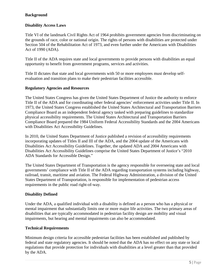#### **Background**

#### **Disability Access Laws**

Title VI of the landmark Civil Rights Act of 1964 prohibits government agencies from discriminating on the grounds of race, color or national origin. The rights of persons with disabilities are protected under Section 504 of the Rehabilitation Act of 1973, and even further under the Americans with Disabilities Act of 1990 (ADA).

Title II of the ADA requires state and local governments to provide persons with disabilities an equal opportunity to benefit from government programs, services and activities.

Title II dictates that state and local governments with 50 or more employees must develop selfevaluation and transition plans to make their pedestrian facilities accessible.

#### **Regulatory Agencies and Resources**

The United States Congress has given the United States Department of Justice the authority to enforce Title II of the ADA and for coordinating other federal agencies' enforcement activities under Title II. In 1973, the United States Congress established the United States Architectural and Transportation Barriers Compliance Board as an independent federal agency tasked with preparing guidelines to standardize physical accessibility requirements. The United States Architectural and Transportation Barriers Compliance Board prepared the 1984 Uniform Federal Accessibility Standards and the 2004 Americans with Disabilities Act Accessibility Guidelines.

In 2010, the United States Department of Justice published a revision of accessibility requirements incorporating updates of Titles II and III of the ADA, and the 2004 update of the Americans with Disabilities Act Accessibility Guidelines. Together, the updated ADA and 2004 Americans with Disabilities Act Accessibility Guidelines comprise the United States Department of Justice's "2010 ADA Standards for Accessible Design."

The United States Department of Transportation is the agency responsible for overseeing state and local governments' compliance with Title II of the ADA regarding transportation systems including highway, railroad, transit, maritime and aviation. The Federal Highway Administration, a division of the United States Department of Transportation, is responsible for implementation of pedestrian access requirements in the public road right-of-way.

#### **Disability Defined**

Under the ADA, a qualified individual with a disability is defined as a person who has a physical or mental impairment that substantially limits one or more major life activities. The two primary areas of disabilities that are typically accommodated in pedestrian facility design are mobility and visual impairments, but hearing and mental impairments can also be accommodated.

#### **Technical Requirements**

Minimum design criteria for accessible pedestrian facilities has been established and published by federal and state regulatory agencies. It should be noted that the ADA has no effect on any state or local regulations that provide protection for individuals with disabilities at a level greater than that provided by the ADA.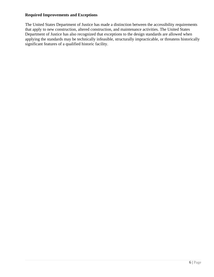#### **Required Improvements and Exceptions**

The United States Department of Justice has made a distinction between the accessibility requirements that apply to new construction, altered construction, and maintenance activities. The United States Department of Justice has also recognized that exceptions to the design standards are allowed when applying the standards may be technically infeasible, structurally impracticable, or threatens historically significant features of a qualified historic facility.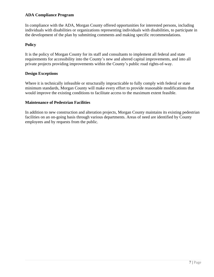#### **ADA Compliance Program**

In compliance with the ADA, Morgan County offered opportunities for interested persons, including individuals with disabilities or organizations representing individuals with disabilities, to participate in the development of the plan by submitting comments and making specific recommendations.

#### **Policy**

It is the policy of Morgan County for its staff and consultants to implement all federal and state requirements for accessibility into the County's new and altered capital improvements, and into all private projects providing improvements within the County's public road rights-of-way.

#### **Design Exceptions**

Where it is technically infeasible or structurally impracticable to fully comply with federal or state minimum standards, Morgan County will make every effort to provide reasonable modifications that would improve the existing conditions to facilitate access to the maximum extent feasible.

#### **Maintenance of Pedestrian Facilities**

In addition to new construction and alteration projects, Morgan County maintains its existing pedestrian facilities on an on-going basis through various departments. Areas of need are identified by County employees and by requests from the public.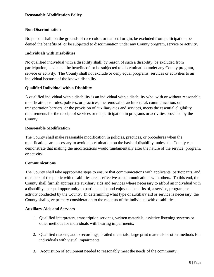#### <span id="page-7-0"></span>**Non-Discrimination**

No person shall, on the grounds of race color, or national origin, be excluded from participation, be denied the benefits of, or be subjected to discrimination under any County program, service or activity.

#### **Individuals with Disabilities**

No qualified individual with a disability shall, by reason of such a disability, be excluded from participation, be denied the benefits of, or be subjected to discrimination under any County program, service or activity. The County shall not exclude or deny equal programs, services or activities to an individual because of the known disability.

#### **Qualified Individual with a Disability**

A qualified individual with a disability is an individual with a disability who, with or without reasonable modifications to rules, policies, or practices, the removal of architectural, communication, or transportation barriers, or the provision of auxiliary aids and services, meets the essential eligibility requirements for the receipt of services or the participation in programs or activities provided by the County.

#### **Reasonable Modification**

The County shall make reasonable modification in policies, practices, or procedures when the modifications are necessary to avoid discrimination on the basis of disability, unless the County can demonstrate that making the modifications would fundamentally alter the nature of the service, program, or activity.

#### **Communications**

The County shall take appropriate steps to ensure that communications with applicants, participants, and members of the public with disabilities are as effective as communications with others. To this end, the County shall furnish appropriate auxiliary aids and services where necessary to afford an individual with a disability an equal opportunity to participate in, and enjoy the benefits of, a service, program, or activity conducted by the County. In determining what type of auxiliary aid or service is necessary, the County shall give primary consideration to the requests of the individual with disabilities.

#### **Auxiliary Aids and Services**

- 1. Qualified interpreters, transcription services, written materials, assistive listening systems or other methods for individuals with hearing impairments;
- 2. Qualified readers, audio recordings, brailed materials, large print materials or other methods for individuals with visual impairments;
- 3. Acquisition of equipment needed to reasonably meet the needs of the community;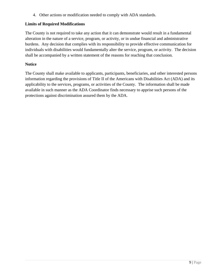4. Other actions or modification needed to comply with ADA standards.

#### **Limits of Required Modifications**

The County is not required to take any action that it can demonstrate would result in a fundamental alteration in the nature of a service, program, or activity, or in undue financial and administrative burdens. Any decision that complies with its responsibility to provide effective communication for individuals with disabilities would fundamentally alter the service, program, or activity. The decision shall be accompanied by a written statement of the reasons for reaching that conclusion.

#### **Notice**

The County shall make available to applicants, participants, beneficiaries, and other interested persons information regarding the provisions of Title II of the Americans with Disabilities Act (ADA) and its applicability to the services, programs, or activities of the County. The information shall be made available in such manner as the ADA Coordinator finds necessary to apprise such persons of the protections against discrimination assured them by the ADA.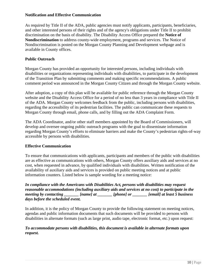#### <span id="page-9-0"></span>**Notification and Effective Communication**

As required by Title II of the ADA, public agencies must notify applicants, participants, beneficiaries, and other interested persons of their rights and of the agency's obligations under Title II to prohibit discrimination on the basis of disability. The Disability Access Office prepared the **Notice of Nondiscrimination** to address county-wide employment, programs and services. The Notice of Nondiscrimination is posted on the Morgan County Planning and Development webpage and is available in County offices.

#### **Public Outreach**

Morgan County has provided an opportunity for interested persons, including individuals with disabilities or organizations representing individuals with disabilities, to participate in the development of the Transition Plan by submitting comments and making specific recommendations. A public comment period was announced in the Morgan County Citizen and through the Morgan County website.

After adoption, a copy of this plan will be available for public reference through the Morgan County website and the Disability Access Office for a period of no less than 3 years in compliance with Title II of the ADA. Morgan County welcomes feedback from the public, including persons with disabilities, regarding the accessibility of its pedestrian facilities. The public can communicate these requests to Morgan County through email, phone calls, and by filling out the ADA Complaint Form.

The ADA Coordinator, and/or other staff members appointed by the Board of Commissioners, will develop and oversee ongoing public outreach programs with the goal to disseminate information regarding Morgan County's efforts to eliminate barriers and make the County's pedestrian rights-of-way accessible by persons with disabilities.

#### **Effective Communication**

To ensure that communications with applicants, participants and members of the public with disabilities are as effective as communications with others, Morgan County offers auxiliary aids and services at no cost, when requested in advance, by qualified individuals with disabilities. Written notification of the availability of auxiliary aids and services is provided on public meeting notices and at public information counters. Listed below is sample wording for a meeting notice:

*In compliance with the Americans with Disabilities Act, persons with disabilities may request reasonable accommodations (including auxiliary aids and services at no cost) to participate in the meeting by contacting \_\_\_\_\_\_\_ [name] at \_\_\_\_\_\_\_ [phone] or \_\_\_\_\_\_\_ [email] at least 5 business days before the scheduled event.*

In addition, it is the policy of Morgan County to provide the following statement on meeting notices, agendas and public information documents that such documents will be provided to persons with disabilities in alternate formats (such as large print, audio tape, electronic format, etc.) upon request:

#### *To accommodate persons with disabilities, this document is available in alternate formats upon request.*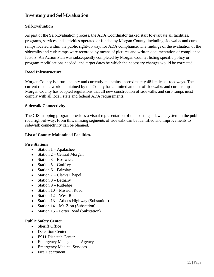## **Inventory and Self-Evaluation**

#### **Self-Evaluation**

As part of the Self-Evaluation process, the ADA Coordinator tasked staff to evaluate all facilities, programs, services and activities operated or funded by Morgan County, including sidewalks and curb ramps located within the public right-of-way, for ADA compliance. The findings of the evaluation of the sidewalks and curb ramps were recorded by means of pictures and written documentation of compliance factors. An Action Plan was subsequently completed by Morgan County, listing specific policy or program modifications needed, and target dates by which the necessary changes would be corrected.

#### **Road Infrastructure**

Morgan County is a rural county and currently maintains approximately 481 miles of roadways. The current road network maintained by the County has a limited amount of sidewalks and curbs ramps. Morgan County has adopted regulations that all new construction of sidewalks and curb ramps must comply with all local, state and federal ADA requirements.

#### **Sidewalk Connectivity**

The GIS mapping program provides a visual representation of the existing sidewalk system in the public road right-of-way. From this, missing segments of sidewalk can be identified and improvements to sidewalk connectivity can be planned.

#### **List of County Maintained Facilities.**

#### **Fire Stations**

- Station  $1 -$  Apalachee
- Station  $2$  Central Morgan
- Station  $3 -$  Bostwick
- Station  $5 -$  Godfrey
- Station  $6$  Fairplay
- Station  $7$  Clacks Chapel
- Station  $8$  Bethany
- $\bullet$  Station 9 Rutledge
- $\bullet$  Station 10 Mission Road
- $\bullet$  Station 12 West Road
- Station 13 Athens Highway (Substation)
- Station  $14 Mt$ . Zion (Substation)
- Station 15 Porter Road (Substation)

#### **Public Safety Center**

- Sheriff Office
- Detention Center
- E911 Dispatch Center
- Emergency Management Agency
- Emergency Medical Services
- Fire Department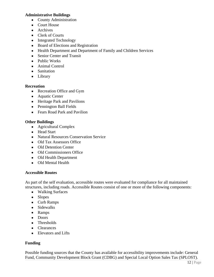#### **Administrative Buildings**

- County Administration
- Court House
- Archives
- Clerk of Courts
- Integrated Technology
- Board of Elections and Registration
- Health Department and Department of Family and Children Services
- Senior Center and Transit
- Public Works
- Animal Control
- Sanitation
- Library

#### **Recreation**

- Recreation Office and Gym
- Aquatic Center
- Heritage Park and Pavilions
- Pennington Ball Fields
- Fears Road Park and Pavilion

#### **Other Buildings**

- Agricultural Complex
- Head Start
- Natural Resources Conservation Service
- Old Tax Assessors Office
- Old Detention Center
- Old Commissioners Office
- Old Health Department
- Old Mental Health

#### **Accessible Routes**

As part of the self evaluation, accessible routes were evaluated for compliance for all maintained structures, including roads. Accessible Routes consist of one or more of the following components:

- Walking Surfaces
- Slopes
- Curb Ramps
- Sidewalks
- Ramps
- Doors
- Thresholds
- Clearances
- Elevators and Lifts

#### **Funding**

Possible funding sources that the County has available for accessibility improvements include: General Fund, Community Development Block Grant (CDBG) and Special Local Option Sales Tax (SPLOST).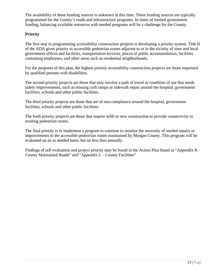The availability of these funding sources is unknown at this time. These funding sources are typically programmed for the County's roads and infrastructure programs. In times of limited government funding, balancing available resources with needed programs will be a challenge for the County.

#### **Priority**

The first step in programming accessibility construction projects is developing a priority system. Title II of the ADA gives priority to accessible pedestrian routes adjacent to or in the vicinity of state and local government offices and facilities, transportation services, places of public accommodation, facilities containing employees, and other areas such as residential neighborhoods.

For the purposes of this plan, the highest priority accessibility construction projects are those requested by qualified persons with disabilities.

The second priority projects are those that may involve a path of travel or condition of use that needs safety improvements, such as missing curb ramps or sidewalk repair around the hospital, government facilities, schools and other public facilities.

The third priority projects are those that are of non-compliance around the hospital, government facilities, schools and other public facilities.

The forth priority projects are those that require infill or new construction to provide connectivity to existing pedestrian routes.

The final priority is to implement a program to continue to monitor the necessity of needed repairs or improvements to the accessible pedestrian routes maintained by Morgan County. This program will be evaluated on an as needed basis, but no less than annually.

Findings of self evaluation and project priority may be found in the Action Plan found in "Appendix K – County Maintained Roads" and "Appendix L – County Facilities"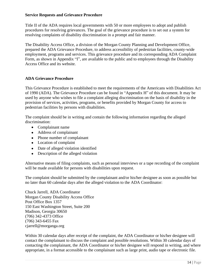#### **Service Requests and Grievance Procedure**

Title II of the ADA requires local governments with 50 or more employees to adopt and publish procedures for resolving grievances. The goal of the grievance procedure is to set out a system for resolving complaints of disability discrimination in a prompt and fair manner.

The Disability Access Office, a division of the Morgan County Planning and Development Office, prepared the ADA Grievance Procedure, to address accessibility of pedestrian facilities, county-wide employment, programs and services. This grievance procedure and its corresponding ADA Complaint Form, as shown in Appendix "I", are available to the public and to employees through the Disability Access Office and its website.

#### **ADA Grievance Procedure**

This Grievance Procedure is established to meet the requirements of the Americans with Disabilities Act of 1990 (ADA). The Grievance Procedure can be found in "Appendix H" of this document. It may be used by anyone who wishes to file a complaint alleging discrimination on the basis of disability in the provision of services, activities, programs, or benefits provided by Morgan County for access to pedestrian facilities by persons with disabilities.

The complaint should be in writing and contain the following information regarding the alleged discrimination:

- Complainant name
- Address of complainant
- Phone number of complainant
- Location of complaint
- Date of alleged violation identified
- Description of the alleged violation

Alternative means of filing complaints, such as personal interviews or a tape recording of the complaint will be made available for persons with disabilities upon request.

The complaint should be submitted by the complainant and/or his/her designee as soon as possible but no later than 60 calendar days after the alleged violation to the ADA Coordinator:

Chuck Jarrell, ADA Coordinator Morgan County Disability Access Office Post Office Box 1357 150 East Washington Street, Suite 200 Madison, Georgia 30650 (706) 342-4373 Office (706) 343-6455 Fax cjarrell@morganga.org

Within 30 calendar days after receipt of the complaint, the ADA Coordinator or his/her designee will contact the complainant to discuss the complaint and possible resolutions. Within 30 calendar days of contacting the complainant, the ADA Coordinator or his/her designee will respond in writing, and where appropriate, in a format accessible to the complainant such as large print, audio tape or electronic file.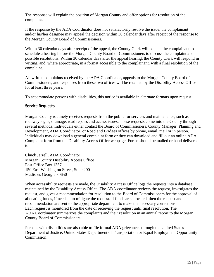The response will explain the position of Morgan County and offer options for resolution of the complaint.

If the response by the ADA Coordinator does not satisfactorily resolve the issue, the complainant and/or his/her designee may appeal the decision within 30 calendar days after receipt of the response to the Morgan County Board of Commissioners.

Within 30 calendar days after receipt of the appeal, the County Clerk will contact the complainant to schedule a hearing before the Morgan County Board of Commissioners to discuss the complaint and possible resolutions. Within 30 calendar days after the appeal hearing, the County Clerk will respond in writing, and, where appropriate, in a format accessible to the complainant, with a final resolution of the complaint.

All written complaints received by the ADA Coordinator, appeals to the Morgan County Board of Commissioners, and responses from these two offices will be retained by the Disability Access Office for at least three years.

To accommodate persons with disabilities, this notice is available in alternate formats upon request.

#### **Service Requests**

Morgan County routinely receives requests from the public for services and maintenance, such as roadway signs, drainage, road repairs and access issues. These requests come into the County through several methods. Individuals either contact the Board of Commissioners, County Manager, Planning and Development, ADA Coordinator, or Road and Bridges offices by phone, email, mail or in person. Individuals may download a general complaint form or they can download and fill out an online ADA Complaint form from the Disability Access Office webpage. Forms should be mailed or hand delivered to:

Chuck Jarrell, ADA Coordinator Morgan County Disability Access Office Post Office Box 1357 150 East Washington Street, Suite 200 Madison, Georgia 30650

When accessibility requests are made, the Disability Access Office logs the requests into a database maintained by the Disability Access Office. The ADA coordinator reviews the request, investigates the request, and gives a recommendation for resolution to the Board of Commissioners for the approval of allocating funds, if needed, to mitigate the request. If funds are allocated, then the request and recommendation are sent to the appropriate department to make the necessary corrections. Each request is monitored from the date of receiving the request until final resolution. The ADA Coordinator summarizes the complaints and their resolution in an annual report to the Morgan County Board of Commissioners.

Persons with disabilities are also able to file formal ADA grievances through the United States Department of Justice, United States Department of Transportation or Equal Employment Opportunity Commission.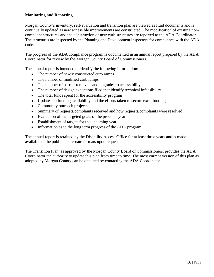#### **Monitoring and Reporting**

Morgan County's inventory, self-evaluation and transition plan are viewed as fluid documents and is continually updated as new accessible improvements are constructed. The modification of existing noncompliant structures and the construction of new curb structures are reported to the ADA Coordinator. The structures are inspected by the Planning and Development inspectors for compliance with the ADA code.

The progress of the ADA compliance program is documented in an annual report prepared by the ADA Coordinator for review by the Morgan County Board of Commissioners.

The annual report is intended to identify the following information:

- The number of newly constructed curb ramps
- The number of modified curb ramps
- The number of barrier removals and upgrades to accessibility
- The number of design exceptions filed that identify technical infeasibility
- The total funds spent for the accessibility program
- Updates on funding availability and the efforts taken to secure extra funding
- Community outreach projects
- Summary of requests/complaints received and how requests/complaints were resolved
- Evaluation of the targeted goals of the previous year
- Establishment of targets for the upcoming year
- Information as to the long term progress of the ADA program.

The annual report is retained by the Disability Access Office for at least three years and is made available to the public in alternate formats upon request.

The Transition Plan, as approved by the Morgan County Board of Commissioners, provides the ADA Coordinator the authority to update this plan from time to time. The most current version of this plan as adopted by Morgan County can be obtained by contacting the ADA Coordinator.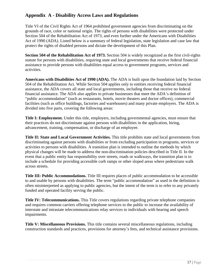## **Appendix A - Disability Access Laws and Regulations**

Title VI of the Civil Rights Act of 1964 prohibited government agencies from discriminating on the grounds of race, color or national origin. The rights of persons with disabilities were protected under Section 504 of the Rehabilitation Act of 1973, and even further under the Americans with Disabilities Act of 1990 (ADA). Listed below is a summary of federal legislation, state legislation and case law that protect the rights of disabled persons and dictate the development of this Plan.

**Section 504 of the Rehabilitation Act of 1973.** Section 504 is widely recognized as the first civil-rights statute for persons with disabilities, requiring state and local governments that receive federal financial assistance to provide persons with disabilities equal access to government programs, services and activities.

**Americans with Disabilities Act of 1990 (ADA).** The ADA is built upon the foundation laid by Section 504 of the Rehabilitation Act. While Section 504 applies only to entities receiving federal financial assistance, the ADA covers all state and local governments, including those that receive no federal financial assistance. The ADA also applies to private businesses that meet the ADA's definition of "public accommodation" (such as restaurants, hotels, movie theaters and doctor offices), commercial facilities (such as office buildings, factories and warehouses) and many private employers. The ADA is divided into five parts, covering the following areas:

**Title I: Employment.** Under this title, employers, including governmental agencies, must ensure that their practices do not discriminate against persons with disabilities in the application, hiring, advancement, training, compensation, or discharge of an employee.

**Title II: State and Local Government Activities.** This title prohibits state and local governments from discriminating against persons with disabilities or from excluding participation in programs, services or activities to persons with disabilities. A transition plan is intended to outline the methods by which physical changes will be made to address the non-discrimination policies described in Title II. In the event that a public entity has responsibility over streets, roads or walkways, the transition plan is to include a schedule for providing accessible curb ramps or other sloped areas where pedestrians walk across streets.

**Title III: Public Accommodations.** Title III requires places of public accommodation to be accessible to and usable by persons with disabilities. The term "public accommodation" as used in the definition is often misinterpreted as applying to public agencies, but the intent of the term is to refer to any privately funded and operated facility serving the public.

**Title IV: Telecommunications.** This Title covers regulations regarding private telephone companies and requires common carriers offering telephone services to the public to increase the availability of interstate and intrastate telecommunications relay services to individuals with hearing and speech impairments.

**Title V: Miscellaneous Provisions.** This title contains several miscellaneous regulations, including construction standards and practices, provisions for attorney's fees, and technical assistance provisions.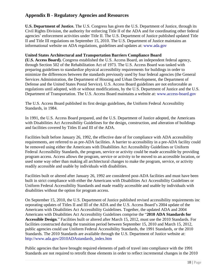## **Appendix B - Regulatory Agencies and Resources**

**U.S. Department of Justice.** The U.S. Congress has given the U.S. Department of Justice, through its Civil Rights Division, the authority for enforcing Title II of the ADA and for coordinating other federal agencies' enforcement activities under Title II. The U.S. Department of Justice published updated Title II and Title III regulations on September 15, 2010. The U.S. Department of Justice maintains an informational website on ADA regulations, guidelines and updates at: www.ada.gov

#### **United States Architectural and Transportation Barriers Compliance Board**

**(U.S. Access Board).** Congress established the U.S. Access Board, an independent federal agency, through Section 502 of the Rehabilitation Act of 1973. The U.S. Access Board was tasked with preparing guidelines to standardize physical accessibility requirements for buildings in order to minimize the differences between the standards previously used by four federal agencies (the General Services Administration, the Department of Housing and Urban Development, the Department of Defense and the United States Postal Service). U.S. Access Board guidelines are not enforceable as regulations until adopted, with or without modifications, by the U.S. Department of Justice and the U.S. Department of Transportation. The U.S. Access Board maintains a website at: www.access-board.gov

The U.S. Access Board published its first design guidelines, the Uniform Federal Accessibility Standards, in 1984.

In 1991, the U.S. Access Board prepared, and the U.S. Department of Justice adopted, the Americans with Disabilities Act Accessibility Guidelines for the design, construction, and alteration of buildings and facilities covered by Titles II and III of the ADA.

Facilities built before January 26, 1992, the effective date of for compliance with ADA accessibility requirements, are referred to as pre-ADA facilities. A barrier to accessibility in a pre-ADA facility could be removed using either the Americans with Disabilities Act Accessibility Guidelines or Uniform Federal Accessibility Standards, the program, service or activity could be made accessible by providing program access. Access allows the program, service or activity to be moved to an accessible location, or used some way other than making all architectural changes to make the program, service, or activity readily accessible and usable by individuals with disabilities.

Facilities built or altered after January 26, 1992 are considered post-ADA facilities and must have been built in strict compliance with either the Americans with Disabilities Act Accessibility Guidelines or Uniform Federal Accessibility Standards and made readily accessible and usable by individuals with disabilities without the option for program access.

On September 15, 2010, the U.S. Department of Justice published revised accessibility requirements inc orporating updates of Titles II and III of the ADA and the U.S. Access Board's 2004 update of the Americans with Disabilities Act Accessibility Guidelines. Together, the updated ADA and 2004 Americans with Disabilities Act Accessibility Guidelines comprise the "**2010 ADA Standards for Accessible Design**." Facilities built or altered after March 15, 2012, must use the 2010 Standards. For facilities constructed during the transition period between September 15, 2010 and March 15, 2012, public agencies could use Uniform Federal Accessibility Standards, the 1991 Standards, or the 2010 Standards. The 2010 Standards are available through the U.S. Department of Justice website at: http://www.ada.gov/2010ADAstandards\_index.htm

Public agencies that have brought required elements of path of travel into compliance with the 1991 Standards are not required to retrofit those elements in order to reflect incremental changes in the 2010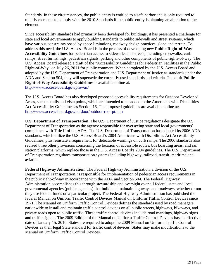Standards. In these circumstances, the public entity is entitled to a safe harbor and is only required to modify elements to comply with the 2010 Standards if the public entity is planning an alteration to the element.

Since accessibility standards had primarily been developed for buildings, it has presented a challenge for state and local governments to apply building standards to public sidewalk and street systems, which have various constraints posed by space limitations, roadway design practices, slope and terrain. To address this need, the U.S. Access Board is in the process of developing new **Public Right-of-Way Accessibility Guidelines** for pedestrian access to sidewalks and streets, including crosswalks, curb ramps, street furnishings, pedestrian signals, parking and other components of public rights-of-way. The U.S. Access Board released a draft of the "Accessibility Guidelines for Pedestrian Facilities in the Public Right-of-Way" on July 26, 2011 for public comment. When completed by the U.S. Access Board and adopted by the U.S. Department of Transportation and U.S. Department of Justice as standards under the ADA and Section 504, they will supersede the currently used standards and criteria. The draft **Public Right-of-Way Accessibility Guidelines** is available online at: http://www.access-board.gov/prowac/

The U.S. Access Board has also developed proposed accessibility requirements for Outdoor Developed Areas, such as trails and vista points, which are intended to be added to the Americans with Disabilities Act Accessibility Guidelines as Section 16. The proposed guidelines are available online at: http://www.access-board.gov/outdoor/outdoor-rec-rpt.htm

**U.S. Department of Transportation.** The U.S. Department of Justice regulations designate the U.S. Department of Transportation as the agency responsible for overseeing state and local governments' compliance with Title II of the ADA. The U.S. Department of Transportation has adopted its 2006 ADA standards, which utilize the U.S. Access Board's 2004 Americans with Disabilities Act Accessibility Guidelines, plus reinstate a requirement for detectable warnings on curb ramps. The 2006 standards also revised three other provisions concerning the location of accessible routes, bus boarding areas, and rail station platforms, which replace those in the U.S. Access Board's 2004 guidelines. The U.S. Department of Transportation regulates transportation systems including highway, railroad, transit, maritime and aviation.

**Federal Highway Administration.** The Federal Highway Administration, a division of the U.S. Department of Transportation, is responsible for implementation of pedestrian access requirements in the public right-of-way in accordance with the ADA and Section 504. The Federal Highway Administration accomplishes this through stewardship and oversight over all federal, state and local governmental agencies (public agencies) that build and maintain highways and roadways, whether or not they use federal funds on a particular project. The Federal Highway Administration has published the federal Manual on Uniform Traffic Control Devices Manual on Uniform Traffic Control Devices since 1971. The Manual on Uniform Traffic Control Devices defines the standards used by road managers nationwide to install and maintain traffic control devices on all public streets, highways, bikeways, and private roads open to public traffic. These traffic control devices include road markings, highway signs and traffic signals. The 2009 Edition of the Manual on Uniform Traffic Control Devices has an effective date of January 15, 2010. States are required to adopt the 2009 Manual on Uniform Traffic Control Devices as their legal State standard for traffic control devices. States may make modifications to the Manual on Uniform Traffic Control Devices.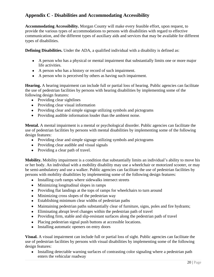## **Appendix C - Disabilities and Accommodating Accessibility**

**Accommodating Accessibility.** Morgan County will make every feasible effort, upon request, to provide the various types of accommodations to persons with disabilities with regard to effective communication, and the different types of auxiliary aids and services that may be available for different types of disabilities.

**Defining Disabilities.** Under the ADA, a qualified individual with a disability is defined as:

- A person who has a physical or mental impairment that substantially limits one or more major life activities.
- A person who has a history or record of such impairment.
- A person who is perceived by others as having such impairment.

**Hearing.** A hearing impairment can include full or partial loss of hearing. Public agencies can facilitate the use of pedestrian facilities by persons with hearing disabilities by implementing some of the following design features:

- Providing clear sightlines
- Providing clear visual information
- Providing clear and simple signage utilizing symbols and pictograms
- Providing audible information louder than the ambient noise.

**Mental.** A mental impairment is a mental or psychological disorder. Public agencies can facilitate the use of pedestrian facilities by persons with mental disabilities by implementing some of the following design features:

- Providing clear and simple signage utilizing symbols and pictograms
- Providing clear audible and visual signals
- Providing a clear path of travel.

**Mobility.** Mobility impairment is a condition that substantially limits an individual's ability to move his or her body. An individual with a mobility disability may use a wheelchair or motorized scooter, or may be semi-ambulatory and use a walker. Public agencies can facilitate the use of pedestrian facilities by persons with mobility disabilities by implementing some of the following design features:

- Installing curb ramps where sidewalks intersect streets
- Minimizing longitudinal slopes in ramps
- Providing flat landings at the tops of ramps for wheelchairs to turn around
- Minimizing cross slopes of the pedestrian way
- Establishing minimum clear widths of pedestrian paths
- Maintaining pedestrian paths substantially clear of furniture, signs, poles and fire hydrants;
- Eliminating abrupt level changes within the pedestrian path of travel
- Providing firm, stable and slip-resistant surfaces along the pedestrian path of travel
- Placing pedestrian signal push buttons at accessible locations.
- Installing automatic openers on entry doors

**Visual.** A visual impairment can include full or partial loss of sight. Public agencies can facilitate the use of pedestrian facilities by persons with visual disabilities by implementing some of the following design features:

• Installing detectable warning surfaces of contrasting color signaling where a pedestrian path enters the vehicular roadway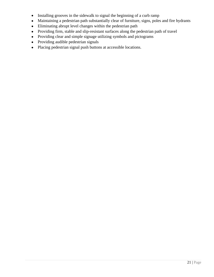- Installing grooves in the sidewalk to signal the beginning of a curb ramp
- Maintaining a pedestrian path substantially clear of furniture, signs, poles and fire hydrants
- Eliminating abrupt level changes within the pedestrian path
- Providing firm, stable and slip-resistant surfaces along the pedestrian path of travel
- Providing clear and simple signage utilizing symbols and pictograms
- Providing audible pedestrian signals
- Placing pedestrian signal push buttons at accessible locations.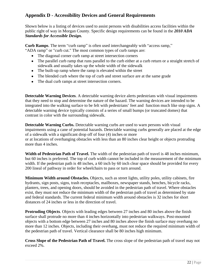## **Appendix D - Accessibility Devices and General Requirements**

Shown below is a listing of devices used to assist persons with disabilities access facilities within the public right of way in Morgan County. Specific design requirements can be found in the *2010 ADA Standards for Accessible Design.*

**Curb Ramps**. The term "curb ramp" is often used interchangeably with "access ramp," "ADA ramp" or "curb cut." The most common types of curb ramps are:

- The diagonal corner curb ramp at street intersection corners
- The parallel curb ramp that runs parallel to the curb either at a curb return or a straight stretch of sidewalk and usually takes up the whole width of the sidewalk
- The built-up ramp where the ramp is elevated within the street
- The blended curb where the top of curb and street surface are at the same grade
- The dual curb ramps at street intersection corners.

**Detectable Warning Devices**. A detectable warning device alerts pedestrians with visual impairments that they need to stop and determine the nature of the hazard. The warning devices are intended to be integrated into the walking surface to be felt with pedestrians' feet and function much like stop signs. A detectable warning device typically consists of a series of small bumps (or truncated domes) that contrast in color with the surrounding sidewalk.

**Detectable Warning Curbs.** Detectable warning curbs are used to warn persons with visual impairments using a cane of potential hazards. Detectable warning curbs generally are placed at the edge of a sidewalk with a significant drop off of four (4) inches or more or at locations of overhanging obstacles with less than an 80 inches clear height or objects protruding more than 4 inches.

**Width of Pedestrian Path of Travel.** The width of the pedestrian path of travel is 48 inches minimum, but 60 inches is preferred. The top of curb width cannot be included in the measurement of the minimum width. If the pedestrian path is 48 inches, a 60 inch by 60 inch clear space should be provided for every 200 lineal of pathway in order for wheelchairs to pass or turn around.

**Minimum Width around Obstacles.** Objects, such as street lights, utility poles, utility cabinets, fire hydrants, sign posts, signs, trash receptacles, mailboxes, newspaper stands, benches, bicycle racks, planters, trees, and opening doors, should be avoided in the pedestrian path of travel. Where obstacles exist, they must not reduce the minimum width of the pedestrian path of travel as determined by state and federal standards. The current federal minimum width around obstacles is 32 inches for short distances of 24 inches or less in the direction of travel.

**Protruding Objects**. Objects with leading edges between 27 inches and 80 inches above the finish surface shall protrude no more than 4 inches horizontally into pedestrian walkways. Post-mounted objects with a bottom edge between 27 inches and 80 inches above the finish surface may overhang no more than 12 inches. Objects, including their overhang, must not reduce the required minimum width of the pedestrian path of travel. Vertical clearance shall be 80 inches high minimum.

**Cross Slope of the Pedestrian Path of Travel.** The cross slope of the pedestrian path of travel may not exceed 2%.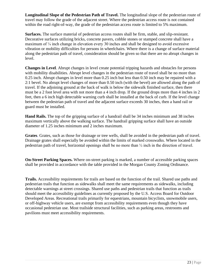**Longitudinal Slope of the Pedestrian Path of Travel.** The longitudinal slope of the pedestrian route of travel may follow the grade of the adjacent street. Where the pedestrian access route is not contained within the road right-of-way, the grade of the pedestrian access route is limited to 5% maximum.

**Surfaces.** The surface material of pedestrian access routes shall be firm, stable, and slip-resistant. Decorative surfaces utilizing bricks, concrete pavers, cobble stones or stamped concrete shall have a maximum of  $\frac{1}{4}$  inch change in elevation every 30 inches and shall be designed to avoid excessive vibration or mobility difficulties for persons in wheelchairs. Where there is a change of surface material along the pedestrian path of travel, consideration should be given so that there are no abrupt changes in level.

**Changes in Level**. Abrupt changes in level create potential tripping hazards and obstacles for persons with mobility disabilities. Abrupt level changes in the pedestrian route of travel shall be no more than 0.25 inch. Abrupt changes in level more than 0.25 inch but less than 0.50 inch may be repaired with a 2:1 bevel. No abrupt level changes of more than 0.50 inch (with the bevel) are allowed along the path of travel. If the adjoining ground at the back of walk is below the sidewalk finished surface, then there must be a 2 foot level area with not more than a 4 inch drop. If the ground drops more than 4 inches in 2 feet, then a 6 inch high detectable warning curb shall be installed at the back of curb. If the level change between the pedestrian path of travel and the adjacent surface exceeds 30 inches, then a hand rail or guard must be installed.

**Hand Rails.** The top of the gripping surface of a handrail shall be 34 inches minimum and 38 inches maximum vertically above the walking surface. The handrail gripping surface shall have an outside diameter of 1.25 inches minimum and 2 inches maximum.

**Grates**. Grates, such as those for drainage or tree wells, shall be avoided in the pedestrian path of travel. Drainage grates shall especially be avoided within the limits of marked crosswalks. Where located in the pedestrian path of travel, horizontal openings shall be no more than ½ inch in the direction of travel.

**On-Street Parking Spaces.** Where on-street parking is marked, a number of accessible parking spaces shall be provided in accordance with the table provided in the Morgan County Zoning Ordinance.

**Trails.** Accessibility requirements for trails are based on the function of the trail. Shared use paths and pedestrian trails that function as sidewalks shall meet the same requirements as sidewalks, including detectable warnings at street crossings. Shared use paths and pedestrian trails that function as trails should meet the accessibility guidelines as currently proposed by the U.S. Access Board for Outdoor Developed Areas. Recreational trails primarily for equestrians, mountain bicyclists, snowmobile users, or off-highway vehicle users, are exempt from accessibility requirements even though they have occasional pedestrian use. Most trailside structural facilities, such as parking areas, restrooms and pavilions must meet accessibility requirements.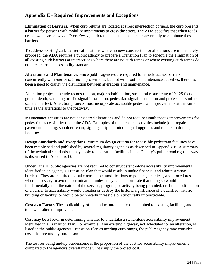## **Appendix E - Required Improvements and Exceptions**

**Elimination of Barriers.** When curb returns are located at street intersection corners, the curb presents a barrier for persons with mobility impairments to cross the street. The ADA specifies that when roads or sidewalks are *newly built* or *altered*, curb ramps must be installed concurrently to eliminate these barriers.

To address existing curb barriers at locations where no new construction or alterations are immediately proposed, the ADA requires a public agency to prepare a Transition Plan to schedule the elimination of all existing curb barriers at intersections where there are no curb ramps or where existing curb ramps do not meet current accessibility standards.

**Alterations and Maintenance.** Since public agencies are required to remedy access barriers concurrently with *new* or *altered* improvements, but not with routine maintenance activities, there has been a need to clarify the distinction between alterations and maintenance.

Alteration projects include reconstruction, major rehabilitation, structural resurfacing of 0.125 feet or greater depth, widening, traffic signal installation, pedestrian signal installation and projects of similar scale and effect. Alteration projects must incorporate accessible pedestrian improvements at the same time as the alterations to the roadway.

Maintenance activities are not considered alterations and do not require simultaneous improvements for pedestrian accessibility under the ADA. Examples of maintenance activities include joint repair, pavement patching, shoulder repair, signing, striping, minor signal upgrades and repairs to drainage facilities.

**Design Standards and Exceptions.** Minimum design criteria for accessible pedestrian facilities have been established and published by several regulatory agencies as described in Appendix B. A summary of the technical standards as they apply to pedestrian facilities in the County's public road right-of-way is discussed in Appendix D.

Under Title II, public agencies are not required to construct stand-alone accessibility improvements identified in an agency's Transition Plan that would result in undue financial and administrative burdens. They are required to make reasonable modifications to policies, practices, and procedures where necessary to avoid discrimination, unless they can demonstrate that doing so would fundamentally alter the nature of the service, program, or activity being provided, or if the modification of a barrier to accessibility would threaten or destroy the historic significance of a qualified historic building or facility, or would be technically infeasible or structurally impracticable.

**Cost as a Factor.** The applicability of the undue burden defense is limited to existing facilities, and not to new or altered improvements.

Cost may be a factor in determining whether to undertake a stand-alone accessibility improvement identified in a Transition Plan. For example, if an existing highway, not scheduled for an alteration, is listed in the public agency's Transition Plan as needing curb ramps, the public agency may consider costs that are unduly burdensome.

The test for being unduly burdensome is the proportion of the cost for accessibility improvements compared to the agency's overall budget, not simply the project cost.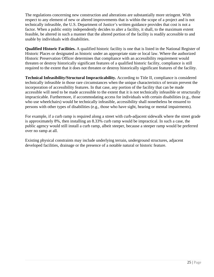The regulations concerning new construction and alterations are substantially more stringent. With respect to any element of new or altered improvements that is within the scope of a project and is not technically infeasible, the U.S. Department of Justice's written guidance provides that cost is not a factor. When a public entity independently decides to alter a facility, it shall, to the maximum extent feasible, be altered in such a manner that the altered portion of the facility is readily accessible to and usable by individuals with disabilities.

**Qualified Historic Facilities.** A qualified historic facility is one that is listed in the National Register of Historic Places or designated as historic under an appropriate state or local law. Where the authorized Historic Preservation Officer determines that compliance with an accessibility requirement would threaten or destroy historically significant features of a qualified historic facility, compliance is still required to the extent that it does not threaten or destroy historically significant features of the facility.

**Technical Infeasibility/Structural Impracticability.** According to Title II, compliance is considered technically infeasible in those rare circumstances when the unique characteristics of terrain prevent the incorporation of accessibility features. In that case, any portion of the facility that can be made accessible will need to be made accessible to the extent that it is not technically infeasible or structurally impracticable. Furthermore, if accommodating access for individuals with certain disabilities (e.g., those who use wheelchairs) would be technically infeasible, accessibility shall nonetheless be ensured to persons with other types of disabilities (e.g., those who have sight, hearing or mental impairments).

For example, if a curb ramp is required along a street with curb-adjacent sidewalk where the street grade is approximately 8%, then installing an 8.33% curb ramp would be impractical. In such a case, the public agency would still install a curb ramp, albeit steeper, because a steeper ramp would be preferred over no ramp at all.

Existing physical constraints may include underlying terrain, underground structures, adjacent developed facilities, drainage or the presence of a notable natural or historic feature.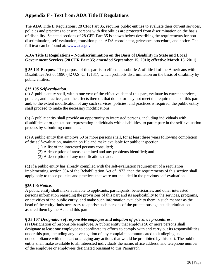## **Appendix F - Text from ADA Title II Regulations**

The ADA Title II Regulations, 28 CFR Part 35, requires public entities to evaluate their current services, policies and practices to ensure persons with disabilities are protected from discrimination on the basis of disability. Selected sections of 28 CFR Part 35 is shown below describing the requirements for nondiscrimination, self-evaluation, transition plan, ADA coordinator, grievance procedure, and notice. The full text can be found at: www.ada.gov

#### **ADA Title II Regulations – Nondiscrimination on the Basis of Disability in State and Local Government Services (28 CFR Part 35; amended September 15, 2010; effective March 15, 2011)**

**§ 35.101 Purpose**. The purpose of this part is to effectuate subtitle A of title II of the Americans with Disabilities Act of 1990 (42 U.S. C. 12131), which prohibits discrimination on the basis of disability by public entities.

#### **§35.105** *Self-evaluation*.

(a) A public entity shall, within one year of the effective date of this part, evaluate its current services, policies, and practices, and the effects thereof, that do not or may not meet the requirements of this part and, to the extent modification of any such services, policies, and practices is required, the public entity shall proceed to make the necessary modifications.

(b) A public entity shall provide an opportunity to interested persons, including individuals with disabilities or organizations representing individuals with disabilities, to participate in the self-evaluation process by submitting comments.

(c) A public entity that employs 50 or more persons shall, for at least three years following completion of the self-evaluation, maintain on file and make available for public inspection:

- (1) A list of the interested persons consulted;
- (2) A description of areas examined and any problems identified; and
- (3) A description of any modifications made.

(d) If a public entity has already complied with the self-evaluation requirement of a regulation implementing section 504 of the Rehabilitation Act of 1973, then the requirements of this section shall apply only to those policies and practices that were not included in the previous self-evaluation.

#### **§35.106** *Notice*.

A public entity shall make available to applicants, participants, beneficiaries, and other interested persons information regarding the provisions of this part and its applicability to the services, programs, or activities of the public entity, and make such information available to them in such manner as the head of the entity finds necessary to apprise such persons of the protections against discrimination assured them by the Act and this part.

#### **§ 35.107** *Designation of responsible employee* **and** *adoption of grievance procedures***.**

(a) Designation of responsible employee. A public entity that employs 50 or more persons shall designate at least one employee to coordinate its efforts to comply with and carry out its responsibilities under this part, including any investigation of any complaint communicated to it alleging its noncompliance with this part or alleging any actions that would be prohibited by this part. The public entity shall make available to all interested individuals the name, office address, and telephone number of the employee or employees designated pursuant to this Paragraph.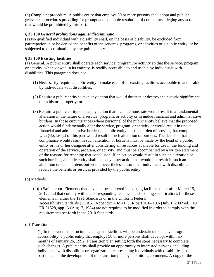(b) Complaint procedure. A public entity that employs 50 or more persons shall adopt and publish grievance procedures providing for prompt and equitable resolution of complaints alleging any action that would be prohibited by this part.

#### **§ 35.130** *General prohibitions against discrimination***.**

(a) No qualified individual with a disability shall, on the basis of disability, be excluded from participation in or be denied the benefits of the services, programs, or activities of a public entity, or be subjected to discrimination by any public entity.

#### **§ 35.150 Existing facilities**

(a) General. A public entity shall operate each service, program, or activity so that the service, program, or activity, when viewed in its entirety, is readily accessible to and usable by individuals with disabilities. This paragraph does not—

- (1) Necessarily require a public entity to make each of its existing facilities accessible to and usable by individuals with disabilities;
- (2) Require a public entity to take any action that would threaten or destroy the historic significance of an historic property; or
- (3) Require a public entity to take any action that it can demonstrate would result in a fundamental alteration in the nature of a service, program, or activity or in undue financial and administrative burdens. In those circumstances where personnel of the public entity believe that the proposed action would fundamentally alter the service, program, or activity or would result in undue financial and administrative burdens, a public entity has the burden of proving that compliance with  $\S 35.150(a)$  of this part would result in such alteration or burdens. The decision that compliance would result in such alteration or burdens must be made by the head of a public entity or his or her designee after considering all resources available for use in the funding and operation of the service, program, or activity, and must be accompanied by a written statement of the reasons for reaching that conclusion. If an action would result in such an alteration or such burdens, a public entity shall take any other action that would not result in such an alteration or such burdens but would nevertheless ensure that individuals with disabilities receive the benefits or services provided by the public entity.

#### (b) Methods.

- (2)(i) Safe harbor. Elements that have not been altered in existing facilities on or after March 15, 2012, and that comply with the corresponding technical and scoping specifications for those elements in either the 1991 Standards or in the Uniform Federal Accessibility Standards (UFAS), Appendix A to 41 CFR part 101– 19.6 (July 1, 2002 ed.), 49 FR 31528, app. A (Aug. 7, 1984) are not required to be modified in order to comply with the requirements set forth in the 2010 Standards.
- (d) Transition plan.

(1) In the event that structural changes to facilities will be undertaken to achieve program accessibility, a public entity that employs 50 or more persons shall develop, within six months of January 26, 1992, a transition plan setting forth the steps necessary to complete such changes. A public entity shall provide an opportunity to interested persons, including individuals with disabilities or organizations representing individuals with disabilities, to participate in the development of the transition plan by submitting comments. A copy of the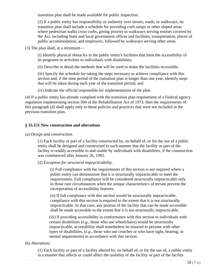transition plan shall be made available for public inspection.

(2) If a public entity has responsibility or authority over streets, roads, or walkways, its transition plan shall include a schedule for providing curb ramps or other sloped areas where pedestrian walks cross curbs, giving priority to walkways serving entities covered by the Act, including State and local government offices and facilities, transportation, places of public accommodation, and employers, followed by walkways serving other areas.

(3) The plan shall, at a minimum—

(i) Identify physical obstacles in the public entity's facilities that limit the accessibility of its programs or activities to individuals with disabilities;

(ii) Describe in detail the methods that will be used to make the facilities accessible;

(iii) Specify the schedule for taking the steps necessary to achieve compliance with this section and, if the time period of the transition plan is longer than one year, identify steps that will be taken during each year of the transition period; and

(iv) Indicate the official responsible for implementation of the plan.

(4) If a public entity has already complied with the transition plan requirement of a Federal agency regulation implementing section 504 of the Rehabilitation Act of 1973, then the requirements of this paragraph (d) shall apply only to those policies and practices that were not included in the previous transition plan.

#### **§ 35.151 New construction and alterations**

#### (a) *Design and construction.*

(1) Each facility or part of a facility constructed by, on behalf of, or for the use of a public entity shall be designed and constructed in such manner that the facility or part of the facility is readily accessible to and usable by individuals with disabilities, if the construction was commenced after January 26, 1992.

(2) *Exception for structural impracticability.*

(i) Full compliance with the requirements of this section is not required where a public entity can demonstrate that it is structurally impracticable to meet the requirements. Full compliance will be considered structurally impracticable only in those rare circumstances when the unique characteristics of terrain prevent the incorporation of accessibility features.

(ii) If full compliance with this section would be structurally impracticable, compliance with this section is required to the extent that it is not structurally impracticable. In that case, any portion of the facility that can be made accessible shall be made accessible to the extent that it is not structurally impracticable.

(iii) If providing accessibility in conformance with this section to individuals with certain disabilities (*e.g.*, those who use wheelchairs) would be structurally impracticable, accessibility shall nonetheless be ensured to persons with other types of disabilities, (*e.g.*, those who use crutches or who have sight, hearing, or mental impairments) in accordance with this section.

#### (b) *Alterations*.

(1) Each facility or part of a facility altered by, on behalf of, or for the use of, a public entity in a manner that affects or could affect the usability of the facility or part of the facility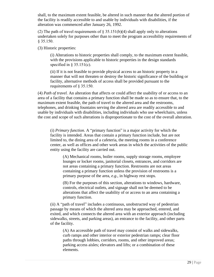shall, to the maximum extent feasible, be altered in such manner that the altered portion of the facility is readily accessible to and usable by individuals with disabilities, if the alteration was commenced after January 26, 1992.

(2) The path of travel requirements of  $\S 35.151(b)(4)$  shall apply only to alterations undertaken solely for purposes other than to meet the program accessibility requirements of § 35.150.

(3) Historic properties:

(i) Alterations to historic properties shall comply, to the maximum extent feasible, with the provisions applicable to historic properties in the design standards specified in  $\S$  35.151(c).

(ii) If it is not feasible to provide physical access to an historic property in a manner that will not threaten or destroy the historic significance of the building or facility, alternative methods of access shall be provided pursuant to the requirements of § 35.150.

(4) *Path of travel.* An alteration that affects or could affect the usability of or access to an area of a facility that contains a primary function shall be made so as to ensure that, to the maximum extent feasible, the path of travel to the altered area and the restrooms, telephones, and drinking fountains serving the altered area are readily accessible to and usable by individuals with disabilities, including individuals who use wheelchairs, unless the cost and scope of such alterations is disproportionate to the cost of the overall alteration.

(i) *Primary function.* A "primary function" is a major activity for which the facility is intended. Areas that contain a primary function include, but are not limited to, the dining area of a cafeteria, the meeting rooms in a conference center, as well as offices and other work areas in which the activities of the public entity using the facility are carried out.

(A) Mechanical rooms, boiler rooms, supply storage rooms, employee lounges or locker rooms, janitorial closets, entrances, and corridors are not areas containing a primary function. Restrooms are not areas containing a primary function unless the provision of restrooms is a primary purpose of the area, *e.g.*, in highway rest stops.

(B) For the purposes of this section, alterations to windows, hardware, controls, electrical outlets, and signage shall not be deemed to be alterations that affect the usability of or access to an area containing a primary function.

(ii) A "path of travel" includes a continuous, unobstructed way of pedestrian passage by means of which the altered area may be approached, entered, and exited, and which connects the altered area with an exterior approach (including sidewalks, streets, and parking areas), an entrance to the facility, and other parts of the facility.

(A) An accessible path of travel may consist of walks and sidewalks, curb ramps and other interior or exterior pedestrian ramps; clear floor paths through lobbies, corridors, rooms, and other improved areas; parking access aisles; elevators and lifts; or a combination of these elements.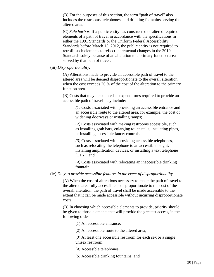(B) For the purposes of this section, the term "path of travel" also includes the restrooms, telephones, and drinking fountains serving the altered area.

(C) *Safe harbor.* If a public entity has constructed or altered required elements of a path of travel in accordance with the specifications in either the 1991 Standards or the Uniform Federal Accessibility Standards before March 15, 2012, the public entity is not required to retrofit such elements to reflect incremental changes in the 2010 Standards solely because of an alteration to a primary function area served by that path of travel.

#### (iii) *Disproportionality.*

(A) Alterations made to provide an accessible path of travel to the altered area will be deemed disproportionate to the overall alteration when the cost exceeds 20 % of the cost of the alteration to the primary function area.

(B) Costs that may be counted as expenditures required to provide an accessible path of travel may include:

> *(1)* Costs associated with providing an accessible entrance and an accessible route to the altered area, for example, the cost of widening doorways or installing ramps;

*(2)* Costs associated with making restrooms accessible, such as installing grab bars, enlarging toilet stalls, insulating pipes, or installing accessible faucet controls;

*(3)* Costs associated with providing accessible telephones, such as relocating the telephone to an accessible height, installing amplification devices, or installing a text telephone (TTY); and

*(4)* Costs associated with relocating an inaccessible drinking fountain.

#### (iv) *Duty to provide accessible features in the event of disproportionality.*

(A) When the cost of alterations necessary to make the path of travel to the altered area fully accessible is disproportionate to the cost of the overall alteration, the path of travel shall be made accessible to the extent that it can be made accessible without incurring disproportionate costs.

(B) In choosing which accessible elements to provide, priority should be given to those elements that will provide the greatest access, in the following order—

(*1*) An accessible entrance;

(*2*) An accessible route to the altered area;

(*3*) At least one accessible restroom for each sex or a single unisex restroom;

(*4*) Accessible telephones;

(*5*) Accessible drinking fountains; and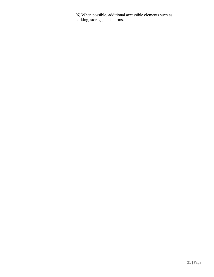(*6*) When possible, additional accessible elements such as parking, storage, and alarms.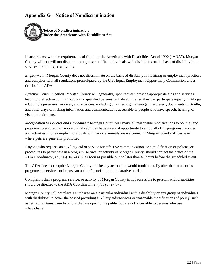## **Appendix G – Notice of Nondiscrimination**



In accordance with the requirements of title II of the Americans with Disabilities Act of 1990 ("ADA"), Morgan County will not will not discriminate against qualified individuals with disabilities on the basis of disability in its services, programs, or activities.

*Employment:* Morgan County does not discriminate on the basis of disability in its hiring or employment practices and complies with all regulations promulgated by the U.S. Equal Employment Opportunity Commission under title I of the ADA.

*Effective Communication:* Morgan County will generally, upon request, provide appropriate aids and services leading to effective communication for qualified persons with disabilities so they can participate equally in Morga n County's programs, services, and activities, including qualified sign language interpreters, documents in Braille, and other ways of making information and communications accessible to people who have speech, hearing, or vision impairments.

*Modification to Policies and Procedures:* Morgan County will make all reasonable modifications to policies and programs to ensure that people with disabilities have an equal opportunity to enjoy all of its programs, services, and activities. For example, individuals with service animals are welcomed in Morgan County offices, even where pets are generally prohibited.

Anyone who requires an auxiliary aid or service for effective communication, or a modification of policies or procedures to participate in a program, service, or activity of Morgan County, should contact the office of the ADA Coordinator, at (706) 342-4373, as soon as possible but no later than 48 hours before the scheduled event.

The ADA does not require Morgan County to take any action that would fundamentally alter the nature of its programs or services, or impose an undue financial or administrative burden.

Complaints that a program, service, or activity of Morgan County is not accessible to persons with disabilities should be directed to the ADA Coordinator, at (706) 342-4373.

Morgan County will not place a surcharge on a particular individual with a disability or any group of individuals with disabilities to cover the cost of providing auxiliary aids/services or reasonable modifications of policy, such as retrieving items from locations that are open to the public but are not accessible to persons who use wheelchairs.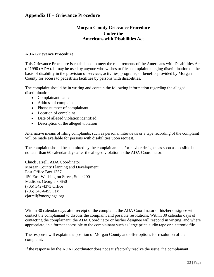### <span id="page-32-0"></span>**Appendix H – Grievance Procedure**

#### **Morgan County Grievance Procedure Under the Americans with Disabilities Act**

#### **ADA Grievance Procedure**

This Grievance Procedure is established to meet the requirements of the Americans with Disabilities Act of 1990 (ADA). It may be used by anyone who wishes to file a complaint alleging discrimination on the basis of disability in the provision of services, activities, programs, or benefits provided by Morgan County for access to pedestrian facilities by persons with disabilities.

The complaint should be in writing and contain the following information regarding the alleged discrimination:

- Complainant name
- Address of complainant
- Phone number of complainant
- Location of complaint
- Date of alleged violation identified
- Description of the alleged violation

Alternative means of filing complaints, such as personal interviews or a tape recording of the complaint will be made available for persons with disabilities upon request.

The complaint should be submitted by the complainant and/or his/her designee as soon as possible but no later than 60 calendar days after the alleged violation to the ADA Coordinator:

Chuck Jarrell, ADA Coordinator Morgan County Planning and Development Post Office Box 1357 150 East Washington Street, Suite 200 Madison, Georgia 30650 (706) 342-4373 Office (706) 343-6455 Fax cjarrell@morganga.org

Within 30 calendar days after receipt of the complaint, the ADA Coordinator or his/her designee will contact the complainant to discuss the complaint and possible resolutions. Within 30 calendar days of contacting the complainant, the ADA Coordinator or his/her designee will respond in writing, and where appropriate, in a format accessible to the complainant such as large print, audio tape or electronic file.

The response will explain the position of Morgan County and offer options for resolution of the complaint.

If the response by the ADA Coordinator does not satisfactorily resolve the issue, the complainant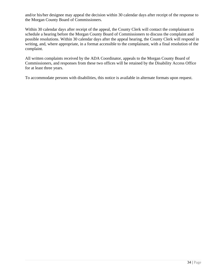and/or his/her designee may appeal the decision within 30 calendar days after receipt of the response to the Morgan County Board of Commissioners.

Within 30 calendar days after receipt of the appeal, the County Clerk will contact the complainant to schedule a hearing before the Morgan County Board of Commissioners to discuss the complaint and possible resolutions. Within 30 calendar days after the appeal hearing, the County Clerk will respond in writing, and, where appropriate, in a format accessible to the complainant, with a final resolution of the complaint.

All written complaints received by the ADA Coordinator, appeals to the Morgan County Board of Commissioners, and responses from these two offices will be retained by the Disability Access Office for at least three years.

To accommodate persons with disabilities, this notice is available in alternate formats upon request.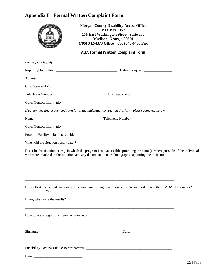## <span id="page-34-0"></span>**Appendix I – Formal Written Complaint Form**

| <b>Morgan County Disability Access Office</b><br>$\sim$ OUNT<br>P.O. Box 1357<br>150 East Washington Street, Suite 200<br>Madison, Georgia 30650<br>(706) 342-4373 Office (706) 343-6455 Fax                                       |  |
|------------------------------------------------------------------------------------------------------------------------------------------------------------------------------------------------------------------------------------|--|
| <b>ADA Formal Written Complaint Form</b>                                                                                                                                                                                           |  |
| Please print legibly.                                                                                                                                                                                                              |  |
|                                                                                                                                                                                                                                    |  |
|                                                                                                                                                                                                                                    |  |
|                                                                                                                                                                                                                                    |  |
|                                                                                                                                                                                                                                    |  |
|                                                                                                                                                                                                                                    |  |
| If person needing accommodation is not the individual completing this form, please complete below:                                                                                                                                 |  |
|                                                                                                                                                                                                                                    |  |
|                                                                                                                                                                                                                                    |  |
|                                                                                                                                                                                                                                    |  |
|                                                                                                                                                                                                                                    |  |
| Describe the situation or way in which the program is not accessible, providing the name(s) where possible of the individuals<br>who were involved in the situation, and any documentation or photographs supporting the incident: |  |
|                                                                                                                                                                                                                                    |  |
| Have efforts been made to resolve this complaint through the Request for Accommodation with the ADA Coordinator?<br>Yes<br>N <sub>o</sub>                                                                                          |  |
| If yes, what were the results?                                                                                                                                                                                                     |  |
|                                                                                                                                                                                                                                    |  |
|                                                                                                                                                                                                                                    |  |
|                                                                                                                                                                                                                                    |  |
| Date: $\frac{1}{2}$                                                                                                                                                                                                                |  |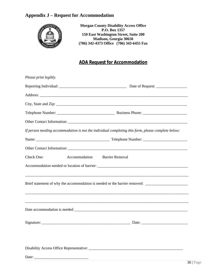## <span id="page-35-0"></span>**Appendix J – Request for Accommodation**



**Morgan County Disability Access Office P.O. Box 1357 150 East Washington Street, Suite 200 Madison, Georgia 30650 (706) 342-4373 Office (706) 343-6455 Fax**

## **ADA Request for Accommodation**

| Please print legibly. |                     |                                                                                                     |
|-----------------------|---------------------|-----------------------------------------------------------------------------------------------------|
|                       |                     |                                                                                                     |
|                       |                     |                                                                                                     |
|                       |                     |                                                                                                     |
|                       |                     |                                                                                                     |
|                       |                     |                                                                                                     |
|                       |                     | If person needing accommodation is not the individual completing this form, please complete below:  |
|                       |                     |                                                                                                     |
|                       |                     |                                                                                                     |
| Check One:            | Accommodation       | <b>Barrier Removal</b>                                                                              |
|                       |                     |                                                                                                     |
|                       |                     |                                                                                                     |
|                       |                     | Brief statement of why the accommodation is needed or the barrier removed: ________________________ |
|                       |                     |                                                                                                     |
|                       |                     |                                                                                                     |
|                       |                     |                                                                                                     |
|                       |                     |                                                                                                     |
|                       |                     |                                                                                                     |
|                       |                     |                                                                                                     |
|                       |                     |                                                                                                     |
|                       | Date: $\frac{1}{2}$ |                                                                                                     |
|                       |                     |                                                                                                     |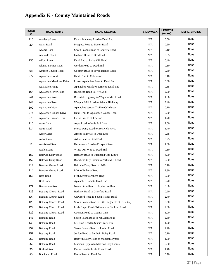# **Appendix K - County Maintained Roads**

| <b>ROAD</b><br># | <b>ROAD NAME</b>           | <b>ROAD SEGMENT</b>                                | <b>SIDEWALK</b> | <b>LENGTH</b><br>(miles) | <b>DEFICIENCIES</b> |
|------------------|----------------------------|----------------------------------------------------|-----------------|--------------------------|---------------------|
| 210              | Academy Lane               | Davis Academy Road to Dead End                     | N/A             | 0.60                     | None                |
| 20               | Adair Road                 | Prospect Road to Doster Road                       | N/A             | 0.50                     | None                |
|                  | Adams Road                 | Seven Islands Road to Godfrey Road                 | N/A             | 0.10                     | None                |
|                  | Adelaide Court             | Graham Drive to Dead End                           | N/A             | 0.05                     | None                |
| 135              | Alford Lane                | Dead End to Parks Mill Road                        | N/A             | 0.40                     | None                |
|                  | Alonzo Farmer Road         | Gordon Road to Dead End                            | N/A             | 0.10                     | None                |
| 98               | <b>Antioch Church Road</b> | Godfrey Road to Seven Islands Road                 | N/A             | 0.80                     | None                |
| 277              | Apalachee Court            | Heidi Trail to Cul-de-sac                          | N/A             | 0.10                     | None                |
|                  | Apalachee Meadows Drive    | Lower Apalachee Road to Dead End                   | N/A             | 0.88                     | None                |
|                  | Apalachee Ridge            | Apalachee Meadows Drive to Dead End                | N/A             | 0.55                     | None                |
| 164              | Apalachee River Road       | Buckhead Road to Hwy. 278                          | N/A             | 2.60                     | None                |
| 244              | Apalachee Road             | Bostwick Highway to Wagnon Mill Road               | N/A             | 1.60                     | None                |
| 244              | Apalachee Road             | Wagnon Mill Road to Athens Highway                 | N/A             | 3.40                     | None                |
| 300              | Apalachee Way              | Apalachee Woods Trail to Cul-de-sac                | N/A             | 0.10                     | None                |
| 276              | Apalachee Woods Drive      | Heidi Trail to Apalachee Woods Trail               | N/A             | 0.30                     | None                |
| 278              | Apalachee Woods Trail      | Cul-de-sac to Cul-de-sac                           | N/A             | 1.70                     | None                |
| 116              | Aqua Lane                  | Aqua Road to Innis Fail Lane                       | N/A             | 2.00                     | None                |
| 114              | Aqua Road                  | Pierce Dairy Road to Bostwick Hwy.                 | N/A             | 3.40                     | None                |
|                  | Arbor Lane                 | Athens Highway to Dead End                         | N/A             | 0.38                     | None                |
|                  | Arbor Court                | Arbor Lane to Dead End                             | N/A             | 0.25                     | None                |
| 11               | Armistead Road             | Hestertown Road to Prospect Road                   | N/A             | 1.30                     | None                |
|                  | Azalea Lane                | White Oak Way to Dead End                          | N/A             | 0.10                     | None                |
| 152              | <b>Baldwin Dairy Road</b>  | Bethany Road to Buckhead City Limits               | N/A             | 4.00                     | None                |
| 152              | <b>Baldwin Dairy Road</b>  | Buckhead City Limits to Parks Mill Road            | N/A             | 0.50                     | None                |
| 214              | <b>Barrows Grove Road</b>  | Baldwin Dairy Road to I-20                         | N/A             | 0.10                     | None                |
| 214              | <b>Barrows Grove Road</b>  | I-20 to Bethany Road                               | N/A             | 2.30                     | None                |
| 158              | <b>Bass Road</b>           | Fifth Street to Athens Hwy.                        | N/A             | 0.80                     | None                |
|                  | <b>Beal Lane</b>           | Apalachee Road to Dead End                         | N/A             | 0.70                     | None                |
| 177              | Beaverdam Road             | Nolan Store Road to Apalachee Road                 | N/A             | 3.00                     | None                |
| 129              | Bethany Church Road        | Bethany Road to Crawford Road                      | N/A             | 0.20                     | None                |
| 129              | <b>Bethany Church Road</b> | Crawford Road to Seven Islands Road                | N/A             | 2.40                     | None                |
| 129              | Bethany Church Road        | Seven Islands Road to Little Sugar Creek Tributary | N/A             | 0.50                     | None                |
| 129              | Bethany Church Road        | Little Sugar Creek Tributary to Cochran Road       | N/A             | 2.00                     | None                |
| 129              | <b>Bethany Church Road</b> | Cochran Road to County Line                        | N/A             | 1.00                     | None                |
| 143              | <b>Bethany Road</b>        | Seven Island Road to Mt. Zion Road                 | N/A             | 2.80                     | None                |
| 143              | <b>Bethany Road</b>        | Mt. Zion Road to Sugar Creek Trail                 | N/A             | 1.20                     | None                |
| 252              | <b>Bethany Road</b>        | Seven Islands Road to Jordan Road                  | N/A             | 4.20                     | None                |
| 252              | <b>Bethany Road</b>        | Jordan Road to Baldwin Dairy Road                  | N/A             | 0.10                     | None                |
| 252              | <b>Bethany Road</b>        | Baldwin Dairy Road to Madison Bypass               | N/A             | 1.80                     | None                |
| 252              | <b>Bethany Road</b>        | Madison Bypass to Madison City Limits              | N/A             | 0.60                     | None                |
| 90               | <b>Binford Road</b>        | Farrar Road to Little River Road                   | N/A             | 1.40                     | None                |
| 80               | <b>Blackwell Road</b>      | Reese Road to Dead End                             | N/A             | 0.70                     | None                |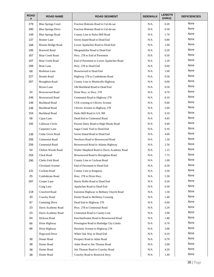| <b>ROAD</b><br># | <b>ROAD NAME</b>          | <b>ROAD SEGMENT</b>                        | <b>SIDEWALK</b> | <b>LENGTH</b><br>(miles) | <b>DEFICIENCIES</b> |
|------------------|---------------------------|--------------------------------------------|-----------------|--------------------------|---------------------|
| 279              | <b>Blue Springs Court</b> | Fraction Bottoms Road to Cul-de-sac        | N/A             | 0.20                     | None                |
| 280              | <b>Blue Springs Drive</b> | Fraction Bottoms Road to Cul-de-sac        | N/A             | 0.50                     | None                |
| 149              | <b>Blue Springs Road</b>  | County Line to Parks Mill Road             | N/A             | 1.70                     | None                |
| 137              | <b>Bonner</b> Lane        | Seven Island Road to Dead End              | N/A             | 0.80                     | None                |
| 168              | <b>Boones Bridge Road</b> | Lower Apalachee Road to Dead End           | N/A             | 1.00                     | None                |
| 195              | <b>Braswell Road</b>      | Mergendollar Road to Dead End              | N/A             | 0.20                     | None                |
| 167              | Briar Creek Road          | Hwy. 278 to End of Pavement                | N/A             | 0.50                     | None                |
| 167              | <b>Briar Creek Road</b>   | End of Pavement to Lower Apalachee Road    | N/A             | 2.20                     | None                |
| 166              | <b>Briar Lane</b>         | Hwy. 278 to Dead End                       | N/A             | 0.60                     | None                |
| 68               | <b>Brobston Lane</b>      | Brownwood to Dead End                      | N/A             | 1.00                     | None                |
| 227              | <b>Brooks Road</b>        | Highway 278 to Confederate Road            | N/A             | 0.50                     | None                |
| 267              | <b>Broughton Road</b>     | County Line to Monticello Highway          | N/A             | 6.00                     | None                |
|                  | <b>Brown Lane</b>         | Old Buckhead Road to Dead End              | N/A             | 0.50                     | None                |
| 24               | <b>Brownwood Road</b>     | Dixie Hwy. to Hwy. 278                     | N/A             | 0.70                     | None                |
| 246              | <b>Brownwood Road</b>     | Centennial Road to Highway 278             | N/A             | 8.10                     | None                |
| 146              | <b>Buckhead Road</b>      | CSX crossing to Chivers Avenue             | N/A             | 0.60                     | None                |
| 146              | <b>Buckhead Road</b>      | Chivers Avenue to Highway 278              | N/A             | 2.60                     | None                |
| 154              | <b>Buckhead Road</b>      | Parks Mill Road to GA. RR                  | N/A             | 0.10                     | None                |
| 58               | Cajun Lane                | Dead End to Centennial Road                | N/A             | 4.45                     | None                |
| 192              | Callaway Circle           | Paxson Dairy Road to High Shoals Road      | N/A             | 0.40                     | None                |
|                  | Carpenter Lane            | Sugar Creek Trail to Dead End              | N/A             | 0.10                     | None                |
| 138              | Cedar Grove Road          | Seven Island Road to Dead End              | N/A             | 4.00                     | None                |
| 256              | Centennial Road           | Newborn Road to Brownwood Road             | N/A             | 1.50                     | None                |
| 256              | Centennial Road           | Brownwood Road to Atlanta Highway          | N/A             | 2.50                     | None                |
| 54               | Chilton Woods Road        | Walter Shepherd Road to Davis Academy Road | N/A             | 1.15                     | None                |
| 254              | Clack Road                | Brownwood Road to Broughton Road           | N/A             | 7.75                     | None                |
| 290              | <b>Clarks Fork Road</b>   | County Line to Cochran Road                | N/A             | 1.00                     | None                |
|                  | Cleveland Avenue          | End of Pavement to Dead End                | N/A             | 0.30                     | None                |
| 131              | Cochran Road              | County Line to Kingston                    | $\rm N/A$       | 3.50                     | None                |
| 25               | Confederate Road          | Hwy. 278 to Dixie Hwy.                     | N/A             | 5.30                     | None                |
| 287              | Cooper Lane               | Harris Hollis Road to Dead End             | N/A             | 0.20                     | None                |
|                  | Craig Lane                | Apalachee Road to Dead End                 | N/A             | 0.30                     | None                |
| 118              | Crawford Road             | Eatonton Highway to Bethany Church Road    | N/A             | 1.50                     | None                |
| 33               | Crawley Road              | Doster Road to McHenry Crossing            | N/A             | 1.40                     | None                |
| 67               | Cumming Drive             | Dead End to Highway 278                    | N/A             | 0.60                     | None                |
| 23               | Davis Academy Road        | Hwy. 278 to Centennial Road                | N/A             | 5.20                     | None                |
| 23               | Davis Academy Road        | Centennial Road to County Line             | N/A             | 3.90                     | None                |
| 64               | Dickson Road              | Keecheefoonee Road to Brownwood Road       | N/A             | 1.80                     | None                |
| 66               | Dixie Highway             | Pennington Road to Rutledge City Limits    | N/A             | 6.70                     | None                |
| 66               | Dixie Highway             | Hawkins Avenue to Highway 278              | N/A             | 3.00                     | None                |
|                  | Dogwood Drive             | White Oak Way to Dead End                  | N/A             | 0.10                     | None                |
| 38               | Doster Road               | Prospect Road to Adair Road                | N/A             | 0.70                     | None                |
| 38               | Doster Road               | Adair Road to Jim Thomas Road              | N/A             | 2.00                     | None                |
| 38               | Doster Road               | Jim Thomas Road to Crawley Road            | N/A             | 4.20                     | None                |
| 38               | Doster Road               | Crawley Road to Bostwick Hwy.              | $\rm N/A$       | 1.40                     | None                |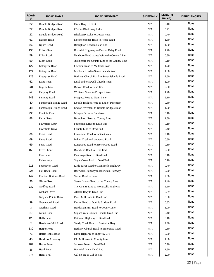| <b>ROAD</b><br># | <b>ROAD NAME</b>             | <b>ROAD SEGMENT</b>                            | <b>SIDEWALK</b> | <b>LENGTH</b><br>(miles) | <b>DEFICIENCIES</b> |
|------------------|------------------------------|------------------------------------------------|-----------------|--------------------------|---------------------|
| 22               | Double Bridges Road          | Dixie Hwy. to CSX                              | N/A             | 0.10                     | None                |
| 22               | Double Bridges Road          | CSX to Blackberry Lake                         | N/A             | 5.71                     | None                |
| 22               | Double Bridges Road          | Blackberry Lake to Doster Road                 | N/A             | 0.70                     | None                |
| 61               | Durden Road                  | Keecheefoonee Road to Reese Road               | N/A             | 1.50                     | None                |
| 84               | <b>Dykes Road</b>            | Broughton Road to Dead End                     | N/A             | 1.00                     | None                |
| 190              | <b>Echols Road</b>           | Bostwick Highway to Paxson Dairy Road          | N/A             | 1.20                     | None                |
| 59               | <b>Elliot Road</b>           | Newborn Road to just before the County Line    | N/A             | 0.30                     | None                |
| 59               | <b>Elliot Road</b>           | Just before the County Line to the County Line | N/A             | 0.10                     | None                |
| 127              | <b>Enterprise Road</b>       | Cochran Road to Medlock Road                   | N/A             | 1.70                     | None                |
| 127              | <b>Enterprise Road</b>       | Medlock Road to Seven Islands Road             | N/A             | 1.30                     | None                |
| 128              | <b>Enterprise Road</b>       | Bethany Church Road to Seven Islands Road      | N/A             | 2.60                     | None                |
| 52               | <b>Estes Road</b>            | Dead end to Sewell Church Road                 | N/A             | 1.00                     | None                |
| 231              | Eugene Lane                  | <b>Brooks Road to Dead End</b>                 | N/A             | 0.30                     | None                |
| 240              | Fairplay Road                | Williams Street to Prospect Road               | N/A             | 4.70                     | None                |
| 243              | Fairplay Road                | Prospect Road to Nunn Lane                     | N/A             | 5.10                     | None                |
| 40               | Fambrough Bridge Road        | Double Bridges Road to End of Pavement         | N/A             | 0.80                     | None                |
| 40               | Fambrough Bridge Road        | End of Pavement to Double Bridges Road         | N/A             | 1.90                     | None                |
| 298              | Franklin Court               | Morgan Drive to Cul-de-sac                     | N/A             | 0.10                     | None                |
| 88               | Farrar Road                  | Broughton Road to County Line                  | N/A             | 1.80                     | None                |
|                  | Fawnfield Court              | Fawnfield Drive to Dead End                    | N/A             | 0.10                     | None                |
|                  | Fawnfield Drive              | County Line to Dead End                        | N/A             | 0.40                     | None                |
| 69               | Fears Road                   | Centennial Road to Indian Creek                | N/A             | 2.10                     | None                |
| 69               | Fears Road                   | Indian Creek to Longwood Road                  | N/A             | 0.80                     | None                |
| 69               | Fears Road                   | Longwood Road to Brownwood Road                | N/A             | 0.50                     | None                |
| 163              | Ferrell Lane                 | Buckhead Road to Dead End                      | N/A             | 0.50                     | None                |
|                  | Few Lane                     | Parsonage Road to Dead End                     | N/A             | 0.10                     | None                |
|                  | Fisher Way                   | Sugar Creek Trail to Dead End                  | N/A             | 0.10                     | None                |
| 211              | <b>Fitzpatrick Road</b>      | Little River Road to Monticello Highway        | N/A             | 0.70                     | None                |
| 226              | Flat Rock Road               | Bostwick Highway to Bostwick Highway           | N/A             | 0.70                     | None                |
| 147              | <b>Fraction Bottoms Road</b> | Sword Road to Lake                             | N/A             | 2.30                     | None                |
| 96               | Glades Road                  | Seven Islands Road to the County Line          | N/A             | 1.40                     | None                |
| 239              | Godfrey Road                 | The County Line to Monticello Highway          | N/A             | 5.60                     | None                |
|                  | Graham Drive                 | Atlanta Hwy to Dead End                        | N/A             | 0.39                     | None                |
|                  | Grayson Pointe Drive         | Parks Mill Road to Dead End                    | N/A             | 0.80                     | None                |
| 39               | Greenwood Road               | Doster Road to Double Bridges Road             | N/A             | 0.85                     | None                |
| 3                | Gresham Road                 | Hardeman Mill Road to County Line              | N/A             | 1.00                     | None                |
| 318              | Guinn Road                   | Sugar Creek Church Road to Dead End            | N/A             | 0.40                     | None                |
| 126              | Halls Lane                   | Eatonton Highway to Dead End                   | N/A             | 0.10                     | None                |
| $\overline{2}$   | Hardeman Mill Road           | Sandy Creek Road to Bostwick Hwy.              | N/A             | 2.90                     | None                |
| 130              | Harper Road                  | Bethany Church Road to Enterprise Road         | N/A             | 0.50                     | None                |
| 71               | Harris Hollis Road           | Dixie Highway to Highway 278                   | N/A             | 0.50                     | None                |
| 45               | Hawkins Academy              | Old Mill Road to County Line                   | N/A             | 1.00                     | None                |
| 289              | <b>Hayes Street</b>          | Jackson Street to Dead End                     | N/A             | 0.20                     | None                |
| 36               | Head Road                    | Bostwick Hwy. Dead End                         | N/A             | 1.50                     | None                |
| 275              | Heidi Trail                  | Cul-de-sac to Cul-de-sac                       | N/A             | 2.00                     | None                |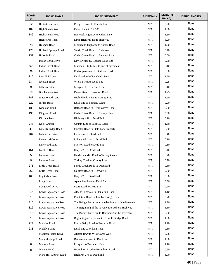| <b>ROAD</b><br># | <b>ROAD NAME</b>            | <b>ROAD SEGMENT</b>                                     | <b>SIDEWALK</b> | <b>LENGTH</b><br>(miles) | <b>DEFICIENCIES</b> |
|------------------|-----------------------------|---------------------------------------------------------|-----------------|--------------------------|---------------------|
| 12               | <b>Hestertown Road</b>      | Prospect Road to County Line                            | N/A             | 3.20                     | None                |
| 189              | <b>High Shoals Road</b>     | Odum Lane to SR 186                                     | N/A             | 1.30                     | None                |
| 189              | <b>High Shoals Road</b>     | Bostwick Highway to Odum Lane                           | N/A             | 3.60                     | None                |
|                  | <b>Hightower Road</b>       | Dixie Highway Dixie Highway                             | N/A             | 3.20                     | None                |
| 78               | Hilsman Road                | Monticello Highway to Spears Road                       | N/A             | 1.20                     | None                |
| 173              | Holland Springs Road        | Sandy Creek Road to Cul-de-sac                          | N/A             | 0.70                     | None                |
| 139              | Holstein Road               | Cedar Grove Road to Bethany Road                        | N/A             | 0.60                     | None                |
|                  | Indian Bend Drive           | Davis Academy Road to Dead End                          | N/A             | 0.30                     | None                |
| 99               | <b>Indian Creek Road</b>    | Madison City Limits to end of pavement                  | N/A             | 0.10                     | None                |
| 99               | <b>Indian Creek Road</b>    | End of pavement to Godfrey Road                         | N/A             | 6.00                     | None                |
| 115              | Innis Fail Lane             | Dead end to Indian Creek Road                           | N/A             | 1.80                     | None                |
| 234              | Jackson Street              | Wheat Street to Dead End                                | N/A             | 0.25                     | None                |
| 299              | Jefferson Court             | Morgan Drive to Cul-de-sac                              | N/A             | 0.10                     | None                |
| 19               | Jim Thomas Road             | Doster Road to Prospect Road                            | N/A             | 1.25                     | None                |
| 187              | Jones Wood Lane             | High Shoals Road to County Line                         | N/A             | 1.20                     | None                |
| 220              | Jordan Road                 | Dead End to Bethany Road                                | N/A             | 0.90                     | None                |
| 133              | Kingston Road               | Bethany Road to Cedar Grove Road                        | N/A             | 0.80                     | None                |
| 133              | Kingston Road               | Cedar Grove Road to County Line                         | N/A             | 3.00                     | None                |
|                  | Kitchen Road                | Highway 441 to Dead End                                 | N/A             | 0.10                     | None                |
| 247              | Knox Chapel                 | County Line to Fairplay Road                            | N/A             | 1.60                     | None                |
| 41               | Lake Rutledge Road          | Fairplay Road to State Park Property                    | N/A             | 0.30                     | None                |
| 282              | Lakeshore Drive             | Cul-de-sac to Dead End                                  | N/A             | 0.40                     | None                |
|                  | Lakewood Court              | Lakewood Lane to Dead End                               | N/A             | 0.10                     | None                |
|                  | Lakewood Lane               | Mission Road to Dead End                                | N/A             | 0.10                     | None                |
| 161              | Lambert Road                | Hwy. 278 to Dead End                                    | N/A             | 0.40                     | None                |
| 5                | Launius Road                | Hardeman Mill Road to Turkey Creek                      | N/A             | 0.70                     | None                |
| 5                | Launius Road                | Turkey Creek to County Line                             | N/A             | 0.70                     | None                |
| 271              | Little Creek Road           | Sandy Creek Road to Dead End                            | N/A             | 0.50                     | None                |
| 268              | Little River Road           | Godfrey Road to Highway 83                              | N/A             | 2.60                     | None                |
| 160              | Log Cabin Road              | Hwy. 278 to Dead End                                    | N/A             | 0.80                     | None                |
|                  | Long Lane                   | Apalachee Road to Dead End                              | N/A             | 0.30                     | None                |
|                  | Longwood Drive              | Fears Road to Dead End                                  | N/A             | 0.20                     | None                |
| 316              | Lower Apalachee Road        | Athens Highway to Plantation Road                       | N/A             | 1.10                     | None                |
| 316              | Lower Apalachee Road        | Plantation Road to Trimble Bridge Road                  | N/A             | 2.70                     | None                |
| 316              | Lower Apalachee Road        | The Bridge that is out to the beginning of the Pavement | N/A             | 1.20                     | None                |
| 316              | Lower Apalachee Road        | The Beginning of the Pavement to Athens Highway         | N/A             | 1.60                     | None                |
| 316              | Lower Apalachee Road        | The Bridge that is out to Beginning of the pavement     | N/A             | 0.90                     | None                |
| 316              | Lower Apalachee Road        | Beginning of Pavement to Trimble Bridge Road            | N/A             | 1.00                     | None                |
| 123              | Maddox Road                 | Pierce Dairy Road to Eatonton Road                      | N/A             | 1.20                     | None                |
| 233              | Madelyn Lane                | Dead End to Wilson Road                                 | N/A             | 0.60                     | None                |
|                  | <b>Madison Fields Drive</b> | Atlanta Hwy to Wildflower Way                           | N/A             | 0.08                     | None                |
|                  | Mallard Ridge Road          | Beaverdam Road to Dead End                              | N/A             | 1.30                     | None                |
| 8                | Mallory Road                | Prospect to Bostwick Hwy.                               | N/A             | 1.10                     | None                |
| 86               | Malone Road                 | Broughton Road to Broughton Road                        | N/A             | 0.60                     | None                |
|                  | Mar's Hill Church Road      | Highway 278 to Dead End                                 | N/A             | 3.00                     | None                |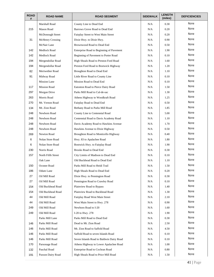| <b>ROAD</b><br># | <b>ROAD NAME</b>    | <b>ROAD SEGMENT</b>                      | <b>SIDEWALK</b> | <b>LENGTH</b><br>(miles) | <b>DEFICIENCIES</b> |
|------------------|---------------------|------------------------------------------|-----------------|--------------------------|---------------------|
|                  | Marshall Road       | County Line to Dead End                  | N/A             | 0.30                     | None                |
| 215              | Mason Road          | Barrows Grove Road to Dead End           | N/A             | 0.20                     | None                |
|                  | McDonough Street    | Fairplay Street to West Main Street      | N/A             | 0.20                     | None                |
| 31               | McHenry Crossing    | Dixie Hwy. to Dixie Hwy.                 | N/A             | 0.90                     | None                |
|                  | McNair Lane         | Brownwood Road to Dead End               | N/A             | 0.50                     | None                |
| 142              | Medlock Road        | Enterprise Road to Beginning of Pavement | N/A             | 1.90                     | None                |
| 142              | Medlock Road        | Beginning of Pavement to Porter Road     | N/A             | 0.10                     | None                |
| 194              | Mergendollar Road   | High Shoals Road to Preston Ford Road    | N/A             | 1.60                     | None                |
| 194              | Mergendollar Road   | Preston Ford Road to Bostwick Highway    | N/A             | 1.20                     | None                |
| 82               | Meriwether Road     | Broughton Road to Dead End               | N/A             | 1.10                     | None                |
| 91               | Midway Road         | Little River Road to County Line         | N/A             | 0.10                     | None                |
|                  | <b>Mission Lane</b> | Mission Road to Dead End                 | N/A             | 0.10                     | None                |
| 117              | <b>Mission Road</b> | Eatonton Road to Pierce Dairy Road       | N/A             | 1.50                     | None                |
| 297              | Morgan Drive        | Parks Mill Road to Cul-de-sac            | N/A             | 1.30                     | None                |
| 263              | Morris Road         | Athens Highway to Woodkraft Road         | N/A             | 1.25                     | None                |
| 270              | Mt. Vernon Road     | Fairplay Road to Dead End                | N/A             | 0.50                     | None                |
| 134              | Mt. Zion Road       | Bethany Road to Parks Mill Road          | N/A             | 1.85                     | <b>None</b>         |
| 248              | Newborn Road        | County Line to Centennial Road           | N/A             | 5.00                     | None                |
| 248              | Newborn Road        | Centennial Road to Davis Academy Road    | N/A             | 1.10                     | None                |
| 248              | Newborn Road        | Davis Academy Road to Hawkins Avenue     | N/A             | 1.70                     | None                |
| 248              | Newborn Road        | Hawkins Avenue to Dixie Highway          | N/A             | 0.50                     | None                |
| 269              | Newton Road         | Broughton Road to Monticello Highway     | N/A             | 0.40                     | None                |
| 6                | Nolan Store Road    | Hwy. 83 to Apalachee Road                | N/A             | 1.80                     | None                |
| 6                | Nolan Store Road    | Bostwick Hwy. to Fairplay Road           | N/A             | 1.90                     | None                |
| 230              | Norris Road         | Brooks Road to Dead End                  | N/A             | 0.30                     | None                |
| 157              | North Fifth Street  | City Limits of Madison to Dead End       | N/A             | 0.10                     | None                |
|                  | Oak Lane            | Old Buckhead Road to Dead End            | N/A             | 1.10                     | None                |
| 150              | Oconee Road         | Parks Mill Road to Heidi Trail           | N/A             | 1.50                     | None                |
| 186              | Odum Lane           | High Shoals Road to Dead End             | N/A             | 0.20                     | None                |
| 27               | Oil Mill Road       | Dixie Hwy. to Pennington Road            | N/A             | 0.30                     | None                |
| 27               | Oil Mill Road       | Pennington Road to Crawley Road          | N/A             | 0.10                     | None                |
| 154              | Old Buckhead Road   | Plainview Road to Bypass                 | N/A             | 1.40                     | None                |
| 154              | Old Buckhead Road   | Plainview Road to Buckhead Road          | N/A             | 1.30                     | None                |
| 44               | Old Mill Road       | Fairplay Road West Main Street           | N/A             | 2.10                     | None                |
| 44               | Old Mill Road       | West Main Street to Hwy. 278             | N/A             | 0.90                     | None                |
| 249              | Old Mill Road       | Newborn Road to I-20                     | N/A             | 1.60                     | None                |
| 249              | Old Mill Road       | I-20 to Hwy. 278                         | N/A             | 1.90                     | None                |
|                  | Parks Mill Lane     | Parks Mill Road to Dead End              | N/A             | 0.30                     | None                |
| 146              | Parks Mill Road     | Dead to Mt. Zion Road                    | N/A             | 2.50                     | None                |
| 146              | Parks Mill Road     | Mt. Zion Road to Saffold Road            | N/A             | 4.50                     | None                |
| 146              | Parks Mill Road     | Saffold Road to seven Islands Road       | N/A             | 0.10                     | None                |
| 146              | Parks Mill Road     | Seven Islands Road to Baldwin Dairy Road | N/A             | 0.10                     | None                |
| 170              | Parsonage Road      | Athens Highway to Lower Apalachee Road   | N/A             | 1.00                     | None                |
| 132              | Paschal Road        | Enterprise Road to Cochran Road          | N/A             | 0.80                     | None                |
| 191              | Paxson Dairy Road   | High Shoals Road to Price Mill Road      | N/A             | 1.50                     | None                |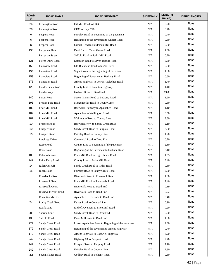| <b>ROAD</b><br># | <b>ROAD NAME</b>       | <b>ROAD SEGMENT</b>                               | <b>SIDEWALK</b> | <b>LENGTH</b><br>(miles) | <b>DEFICIENCIES</b> |
|------------------|------------------------|---------------------------------------------------|-----------------|--------------------------|---------------------|
| 26               | Pennington Road        | Oil Mill Road to CRX                              | N/A             | 0.20                     | None                |
| 26               | Pennington Road        | CRX to Hwy. 278                                   | N/A             | 0.40                     | None                |
| 6                | Peppers Road           | Fairplay Road to Beginning of the pavement        | N/A             | 0.40                     | None                |
| 6                | Peppers Road           | Beginning of the pavement to Gilbert Road         | N/A             | 0.30                     | None                |
| 6                | Peppers Road           | Gilbert Road to Hardeman Mill Road                | N/A             | 0.50                     | None                |
| 198              | Perryman Road          | Dead End to Cedar Grove Road                      | N/A             | 1.30                     | None                |
|                  | Perryman Street        | Saffold Road to Parks Mill Road                   | N/A             | 0.20                     | None                |
| 121              | Pierce Dairy Road      | Eatonton Road to Seven Islands Road               | N/A             | 5.80                     | None                |
| 153              | Plainview Road         | Old Buckhead Road to Sugar Creek                  | N/A             | 0.50                     | None                |
| 153              | Plainview Road         | Sugar Creek to the beginning of pavement          | N/A             | 1.80                     | None                |
| 153              | Plainview Road         | Beginning of Pavement to Bethany Road             | N/A             | 0.60                     | None                |
| 175              | <b>Plantation Road</b> | Athens Highway to Lower Apalachee Road            | N/A             | 1.70                     | None                |
| 125              | Ponder Pines Road      | County Line to Eatonton Highway                   | N/A             | 1.40                     | None                |
|                  | Ponder Way             | Graham Drive to Dead End                          | N/A             | 13.00                    | None                |
| 140              | Porter Road            | Seven Islands Road to Bethany Road                | N/A             | 1.20                     | None                |
| 193              | Preston Ford Road      | Mergendollar Road to County Line                  | N/A             | 0.50                     | None                |
| 182              | Price Mill Road        | Bostwick Highway to Apalachee Road                | N/A             | 1.10                     | None                |
| 182              | Price Mill Road        | Apalachee to Wellington Road                      | N/A             | 0.50                     | None                |
| 182              | Price Mill Road        | Wellington Road to County Line                    | N/A             | 3.80                     | None                |
| 10               | Prospect Road          | Bostwick Hwy. to Sandy Creek Road                 | N/A             | 2.10                     | None                |
| 10               | Prospect Road          | Sandy Creek Road to Fairplay Road                 | N/A             | 3.50                     | None                |
| 10               | Prospect Road          | Fairplay Road to County Line                      | N/A             | 1.20                     | None                |
|                  | Rawlings Drive         | Centennial Road to Dead End                       | N/A             | 0.70                     | None                |
|                  | Reese Road             | County Line to Beginning of the pavement          | N/A             | 2.50                     | None                |
|                  | Reese Road             | Beginning of the Pavement to Dickson Road         | N/A             | 3.10                     | None                |
| 185              | Rehoboth Road          | Price Mill Road to High Shoals Road               | N/A             | 1.55                     | None                |
| 241              | Reids Ferry Road       | County Line to Parks Mill Road                    | N/A             | 3.40                     | None                |
| 14               | Riden Cut Off          | Sandy Creek Road to Riden Road                    | N/A             | 0.30                     | None                |
| 15               | Riden Road             | Fairplay Road to Sandy Creek Road                 | N/A             | 2.00                     | None                |
|                  | Riverbanks Road        | Riverwalk Road to Riverwalk Road                  | N/A             | 1.00                     | None                |
|                  | <b>Riverwalk Road</b>  | Price Mill Road to Riverwalk Road                 | N/A             | 2.40                     | None                |
|                  | <b>Riverwalk Court</b> | Riverwalk Road to Dead End                        | N/A             | 0.19                     | None                |
|                  | Riverwalk Point Road   | Riverwalk Road to Dead End                        | N/A             | 0.22                     | None                |
|                  | River Woods Drive      | Apalachee River Road to Dead End                  | N/A             | 0.40                     | None                |
| 74               | Rocky Creek Road       | Dykes Road to County Line                         | N/A             | 0.90                     | None                |
|                  | Ruark Lane             | End of Pavement to Price Mill Road                | N/A             | 0.20                     | None                |
| 288              | Sabrina Lane           | Sandy Creek Road to Dead End                      | N/A             | 0.90                     | None                |
| 136              | Saffold Road           | Parks Mill Road to Dead End                       | N/A             | 1.80                     | None                |
| 172              | Sandy Creek Road       | Lower Apalachee Road to Beginning of the pavement | N/A             | 2.30                     | None                |
| 172              | Sandy Creek Road       | Beginning of the pavement to Athens Highway       | N/A             | 0.70                     | None                |
| 172              | Sandy Creek Road       | Athens Highway to Bostwick Highway                | N/A             | 3.20                     | None                |
| 242              | Sandy Creek Road       | Highway 83 to Prospect Road                       | N/A             | 2.70                     | None                |
| 242              | Sandy Creek Road       | Prospect Road to Fairplay Road                    | N/A             | 2.10                     | None                |
| 242              | Sandy Creek Road       | Fairplay Road to County Line                      | N/A             | 2.80                     | None                |
| 251              | Seven Islands Road     | Godfrey Road to Bethany Road                      | N/A             | 9.50                     | None                |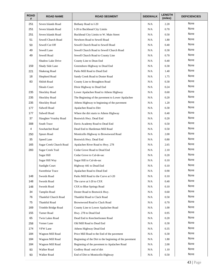| <b>ROAD</b><br># | <b>ROAD NAME</b>         | <b>ROAD SEGMENT</b>                                    | <b>SIDEWALK</b> | <b>LENGTH</b><br>(miles) | <b>DEFICIENCIES</b> |
|------------------|--------------------------|--------------------------------------------------------|-----------------|--------------------------|---------------------|
| 251              | Seven Islands Road       | Bethany Road to I-20                                   | N/A             | 2.20                     | None                |
| 251              | Seven Islands Road       | I-20 to Buckhead City Limits                           | N/A             | 0.70                     | None                |
| 251              | Seven Islands Road       | Buckhead City Limits to W. Main Street                 | N/A             | 0.50                     | None                |
| 51               | Sewell Church Road       | Newborn Road to Sewell Road                            | N/A             | 1.80                     | None                |
| 50               | Sewell Cut Off           | Sewell Church Road to Sewell Road                      | N/A             | 0.40                     | None                |
| 49               | Sewell Lane              | Sewell Church Road to Sewell Church Road               | N/A             | 0.30                     | None                |
| 49               | Sewell Road              | Sewell Church Road to County Line                      | N/A             | 0.70                     | None                |
|                  | Shadow Lake Drive        | County Line to Dean End                                | N/A             | 0.40                     | None                |
| 159              | Shady Side Lane          | Greensboro Highway to Dead End                         | N/A             | 0.30                     | None                |
| 221              | Shakerag Road            | Parks Mill Road to Dead End                            | N/A             | 1.40                     | None                |
| 18               | Shepherd Road            | Sandy Creek Road to Doster Road                        | N/A             | 1.75                     | None                |
| 83               | Shiloh Road              | County Line to Broughton Road                          | N/A             | 0.30                     | None                |
|                  | Shoals Court             | Dixie Highway to Dead End                              | N/A             | 0.24                     | None                |
| 235              | Shockley Road            | Lower Apalachee Road to Athens Highway                 | N/A             | 0.60                     | None                |
| 235              | Shockley Road            | The Beginning of the pavement to Lower Apalachee       | N/A             | 0.20                     | None                |
| 235              | Shockley Road            | Athens Highway to beginning of the pavement            | N/A             | 1.20                     | None                |
| 177              | Sidwell Road             | Apalachee Road to Dirt                                 | N/A             | 0.30                     | None                |
| 177              | Sidwell Road             | Where the dirt starts to Athens Highway                | N/A             | 0.40                     | None                |
| 37               | Slaughter Veasley Road   | Bostwick Hwy. Dead End                                 | N/A             | 0.20                     | None                |
| 308              | South Trace              | Davis Academy Road to Dead End                         | N/A             | 0.50                     | None                |
| 4                | Sowhatchet Road          | Dead End to Hardeman Mill Road                         | N/A             | 0.50                     | None                |
| 250              | <b>Spears Road</b>       | Monticello Highway to Brownwood Road                   | N/A             | 2.00                     | None                |
| 35               | Speed Lane               | Bostwick Hwy. Dead End                                 | N/A             | 0.80                     | None                |
| 165              | Sugar Creek Church Road  | Apalachee River Road to Hwy. 278                       | N/A             | 2.65                     | None                |
| 283              | <b>Sugar Creek Trail</b> | Cedar Grove Road to Dead End                           | N/A             | 2.10                     | None                |
|                  | Sugar Hill               | Cedar Grove to Cul-de-sac                              | N/A             | 0.20                     | None                |
|                  | Sugar Hill Way           | Sugar Hill to Cul-de-sac                               | N/A             | 0.10                     | None                |
|                  | <b>Sunlight Court</b>    | Highway 441 to Dead End                                | N/A             | 0.10                     | None                |
|                  | Sweetbriar Trace         | Apalachee Road to Dead End                             | N/A             | 0.90                     | None                |
| 148              | Swords Road              | Parks Mill Road to the Curve at I-20                   | N/A             | 0.10                     | None                |
| 148              | Swords Road              | The curve at I-20 to CSX                               | N/A             | 0.40                     | None                |
| 148              | Swords Road              | CSX to Blue Springs Road                               | N/A             | 0.10                     | None                |
| 34               | <b>Tamplin Road</b>      | Doster Road to Bostwick Hwy.                           | N/A             | 0.60                     | None                |
| 76               | Thankful Church Road     | Thankful Road to Clack Road                            | N/A             | 0.50                     | None                |
| 75               | <b>Thankful Road</b>     | Brownwood Road to Clack Road                           | N/A             | 0.70                     | None                |
| 169              | Trimble Bridge Road      | County Line to Lower Apalachee Road                    | N/A             | 1.00                     | None                |
| 155              | Turner Road              | Hwy. 278 to Dead End                                   | N/A             | 0.95                     | None                |
| 65               | Twin Lakes Road          | Dead End to Keecheefoonee Road                         | N/A             | 0.20                     | None                |
| 258              | Verner Lane              | Old Mill Road to Dead End                              | N/A             | 0.30                     | None                |
| 174              | <b>VFW Lane</b>          | Athens Highway Dead End                                | N/A             | 0.35                     | None                |
| 184              | Wagnon Mill Road         | Price Mill Road to the End of the pavement             | N/A             | 0.30                     | None                |
| 184              | Wagnon Mill Road         | Beginning of the Dirt to the beginning of the pavement | N/A             | 1.80                     | None                |
| 184              | Wagnon Mill Road         | Beginning of the pavement to Apalachee Road            | N/A             | 2.00                     | None                |
| 93               | Walker Road              | Godfrey Road end of dirt                               | N/A             | 1.10                     | None                |
| 93               | Walker Road              | End of Dirt to Monticello Highway                      | N/A             | 0.50                     | None                |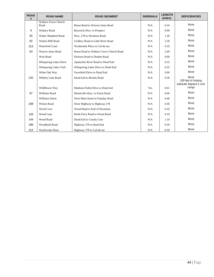| <b>ROAD</b><br># | <b>ROAD NAME</b>             | <b>ROAD SEGMENT</b>                     | <b>SIDEWALK</b> | <b>LENGTH</b><br>(miles) | <b>DEFICIENCIES</b>                                     |
|------------------|------------------------------|-----------------------------------------|-----------------|--------------------------|---------------------------------------------------------|
|                  | Wallace Grove Church<br>Road | Reese Road to Weaver Jones Road         | N/A             | 0.10                     | None                                                    |
| 9                | <b>Wallace Road</b>          | Bostwick Hwy. to Prospect               | N/A             | 0.90                     | None                                                    |
| 55               | Walter Shepherd Road         | Hwy. 278 to Newborn Road                | N/A             | 1.20                     | <b>None</b>                                             |
| 92               | Walton Mill Road             | Godfrey Road to Little River Road       | N/A             | 2.50                     | None                                                    |
| 313              | <b>Waterford Court</b>       | Wynbrooke Place to Cul-de-sac           | N/A             | 0.10                     | None                                                    |
| 63               | Weaver Jones Road            | Reese Road to Wallace Grove Church Road | N/A             | 2.60                     | None                                                    |
|                  | West Road                    | Dickson Road to Durden Road             | N/A             | 0.60                     | None                                                    |
|                  | Whispering Lakes Drive       | Apalachee River Road to Dead End        | N/A             | 0.33                     | None                                                    |
|                  | Whispering Lakes Trail       | Whispering Lakes Drive to Dead End      | N/A             | 0.55                     | None                                                    |
|                  | White Oak Way                | Fawnfield Drive to Dead End             | N/A             | 0.60                     | None                                                    |
| 232              | Whitley Lake Road            | Dead End to Brooks Road                 | N/A             | 0.50                     | None<br>100 feet of missing<br>sidewalk; Replace 2 curb |
|                  | Wildflower Way               | Madison Fields Drive to Dead end        | Yes             | 0.61                     | ramps                                                   |
| 87               | <b>Williams Road</b>         | Monticello Hwy. to Farrar Road          | N/A             | 0.60                     | None                                                    |
|                  | <b>Williams Street</b>       | West Main Street to Fairplay Road       | N/A             | 0.40                     | None                                                    |
| 208              | <b>Wilson Road</b>           | Dixie Highway to Highway 278            | N/A             | 0.50                     | None                                                    |
|                  | Wood Cove                    | Wood Road to End of Pavement            | N/A             | 0.10                     | None                                                    |
| 145              | Wood Lane                    | Reids Ferry Road to Wood Road           | N/A             | 0.10                     | None                                                    |
| 144              | Wood Road                    | Dead End to County Line                 | N/A             | 1.10                     | None                                                    |
| 286              | Woodkraft Road               | Highway 278 to Dead End                 | N/A             | 0.50                     | None                                                    |
| 312              | Wynbrooke Place              | Highway 278 to Cul-de-sac               | N/A             | 0.50                     | None                                                    |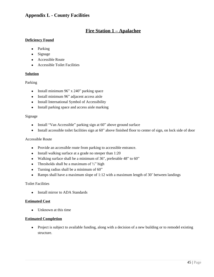## **Appendix L - County Facilities**

## **Fire Station 1 – Apalachee**

#### **Deficiency Found**

- Parking
- Signage
- Accessible Route
- Accessible Toilet Facilities

#### **Solution**

#### Parking

- Install minimum  $96$ " x  $240$ " parking space
- Install minimum 96" adjacent access aisle
- Install International Symbol of Accessibility
- Install parking space and access aisle marking

#### Signage

- Install "Van Accessible" parking sign at 60" above ground surface
- Install accessible toilet facilities sign at 60" above finished floor to center of sign, on lock side of door

#### Accessible Route

- Provide an accessible route from parking to accessible entrance.
- Install walking surface at a grade no steeper than 1:20
- Walking surface shall be a minimum of 36", preferable 48" to 60"
- Thresholds shall be a maximum of  $\frac{1}{2}$  high
- Turning radius shall be a minimum of 60"
- Ramps shall have a maximum slope of 1:12 with a maximum length of 30' between landings

#### Toilet Facilities

• Install mirror to ADA Standards

#### **Estimated Cost**

• Unknown at this time

#### **Estimated Completion**

• Project is subject to available funding, along with a decision of a new building or to remodel existing structure.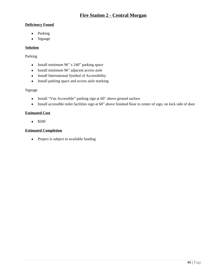## **Fire Station 2 - Central Morgan**

### **Deficiency Found**

- Parking
- Signage

## **Solution**

## Parking

- Install minimum 96" x 240" parking space
- Install minimum 96" adjacent access aisle
- Install International Symbol of Accessibility
- Install parking space and access aisle marking

## Signage

- Install "Van Accessible" parking sign at 60" above ground surface
- Install accessible toilet facilities sign at 60" above finished floor to center of sign, on lock side of door

## **Estimated Cost**

 $•$  \$500

## **Estimated Completion**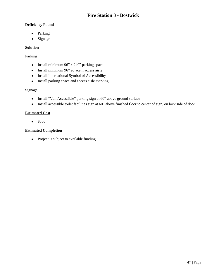## **Deficiency Found**

- Parking
- Signage

## **Solution**

## Parking

- Install minimum 96" x 240" parking space
- Install minimum 96" adjacent access aisle
- Install International Symbol of Accessibility
- Install parking space and access aisle marking

## Signage

- Install "Van Accessible" parking sign at 60" above ground surface
- Install accessible toilet facilities sign at 60" above finished floor to center of sign, on lock side of door

## **Estimated Cost**

 $•$  \$500

## **Estimated Completion**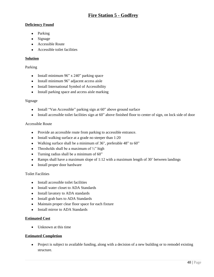## **Deficiency Found**

- Parking
- Signage
- Accessible Route
- Accessible toilet facilities

## **Solution**

## Parking

- Install minimum  $96$ " x  $240$ " parking space
- Install minimum 96" adjacent access aisle
- Install International Symbol of Accessibility
- Install parking space and access aisle marking

## Signage

- Install "Van Accessible" parking sign at 60" above ground surface
- Install accessible toilet facilities sign at 60" above finished floor to center of sign, on lock side of door

## Accessible Route

- Provide an accessible route from parking to accessible entrance.
- Install walking surface at a grade no steeper than 1:20
- Walking surface shall be a minimum of 36", preferable 48" to 60"
- Thresholds shall be a maximum of  $\frac{1}{2}$  high
- Turning radius shall be a minimum of 60"
- Ramps shall have a maximum slope of 1:12 with a maximum length of 30' between landings
- Install proper door hardware

#### Toilet Facilities

- Install accessible toilet facilities
- Install water closet to ADA Standards
- Install lavatory to ADA standards
- Install grab bars to ADA Standards
- Maintain proper clear floor space for each fixture
- Install mirror to ADA Standards

#### **Estimated Cost**

• Unknown at this time

#### **Estimated Completion**

• Project is subject to available funding, along with a decision of a new building or to remodel existing structure.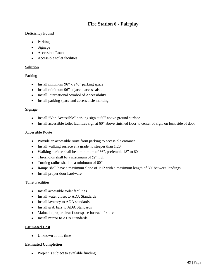## **Fire Station 6 - Fairplay**

#### **Deficiency Found**

- Parking
- Signage
- Accessible Route
- Accessible toilet facilities

## **Solution**

## Parking

- Install minimum 96" x 240" parking space
- Install minimum 96" adjacent access aisle
- Install International Symbol of Accessibility
- Install parking space and access aisle marking

#### Signage

- Install "Van Accessible" parking sign at 60" above ground surface
- Install accessible toilet facilities sign at 60" above finished floor to center of sign, on lock side of door

#### Accessible Route

- Provide an accessible route from parking to accessible entrance.
- Install walking surface at a grade no steeper than 1:20
- Walking surface shall be a minimum of 36", preferable 48" to 60"
- Thresholds shall be a maximum of  $\frac{1}{2}$ " high
- Turning radius shall be a minimum of 60"
- Ramps shall have a maximum slope of 1:12 with a maximum length of 30' between landings
- Install proper door hardware

#### Toilet Facilities

- Install accessible toilet facilities
- Install water closet to ADA Standards
- Install lavatory to ADA standards
- Install grab bars to ADA Standards
- Maintain proper clear floor space for each fixture
- Install mirror to ADA Standards

#### **Estimated Cost**

• Unknown at this time

#### **Estimated Completion**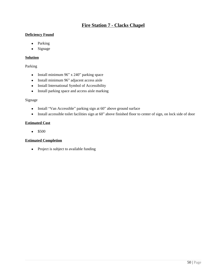## **Fire Station 7 - Clacks Chapel**

### **Deficiency Found**

- Parking
- Signage

## **Solution**

### Parking

- Install minimum 96" x 240" parking space
- Install minimum 96" adjacent access aisle
- Install International Symbol of Accessibility
- Install parking space and access aisle marking

## Signage

- Install "Van Accessible" parking sign at 60" above ground surface
- Install accessible toilet facilities sign at 60" above finished floor to center of sign, on lock side of door

## **Estimated Cost**

 $•$  \$500

## **Estimated Completion**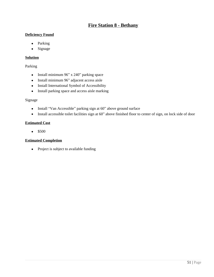## **Fire Station 8 - Bethany**

#### **Deficiency Found**

- Parking
- Signage

#### **Solution**

#### Parking

- Install minimum 96" x 240" parking space
- Install minimum 96" adjacent access aisle
- Install International Symbol of Accessibility
- Install parking space and access aisle marking

#### Signage

- Install "Van Accessible" parking sign at 60" above ground surface
- Install accessible toilet facilities sign at 60" above finished floor to center of sign, on lock side of door

#### **Estimated Cost**

 $•$  \$500

#### **Estimated Completion**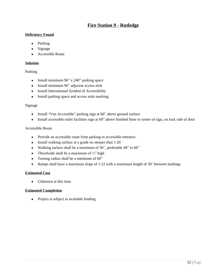## **Fire Station 9 - Rutledge**

### **Deficiency Found**

- Parking
- Signage
- Accessible Route

## **Solution**

## Parking

- Install minimum 96" x 240" parking space
- Install minimum 96" adjacent access aisle
- Install International Symbol of Accessibility
- Install parking space and access aisle marking

## Signage

- Install "Van Accessible" parking sign at 60" above ground surface
- Install accessible toilet facilities sign at 60" above finished floor to center of sign, on lock side of door

## Accessible Route

- Provide an accessible route from parking to accessible entrance.
- Install walking surface at a grade no steeper than 1:20
- Walking surface shall be a minimum of 36", preferable 48" to 60"
- Thresholds shall be a maximum of  $\frac{1}{2}$ " high
- Turning radius shall be a minimum of 60"
- Ramps shall have a maximum slope of 1:12 with a maximum length of 30' between landings

## **Estimated Cost**

• Unknown at this time

## **Estimated Completion**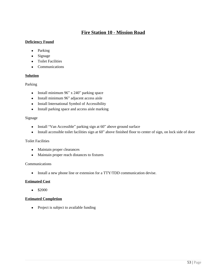## **Fire Station 10 - Mission Road**

#### **Deficiency Found**

- Parking
- Signage
- **•** Toilet Facilities
- Communications

## **Solution**

Parking

- Install minimum 96" x 240" parking space
- Install minimum 96" adjacent access aisle
- Install International Symbol of Accessibility
- Install parking space and access aisle marking

## Signage

- Install "Van Accessible" parking sign at 60" above ground surface
- Install accessible toilet facilities sign at 60" above finished floor to center of sign, on lock side of door

#### Toilet Facilities

- Maintain proper clearances
- Maintain proper reach distances to fixtures

### Communications

• Install a new phone line or extension for a TTY/TDD communication devise.

## **Estimated Cost**

 $•$  \$2000

## **Estimated Completion**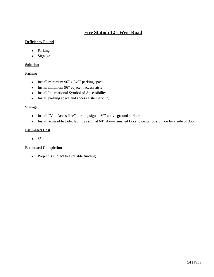## **Fire Station 12 - West Road**

### **Deficiency Found**

- Parking
- Signage

## **Solution**

Parking

- Install minimum  $96$ " x  $240$ " parking space
- Install minimum 96" adjacent access aisle
- Install International Symbol of Accessibility
- Install parking space and access aisle marking

## Signage

- Install "Van Accessible" parking sign at 60" above ground surface
- Install accessible toilet facilities sign at 60" above finished floor to center of sign, on lock side of door

## **Estimated Cost**

 $•$  \$500

## **Estimated Completion**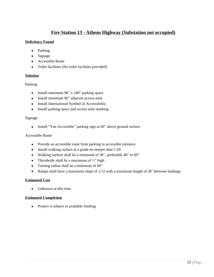## **Fire Station 13 - Athens Highway (Substation not occupied)**

## **Deficiency Found**

- Parking
- Signage
- Accessible Route
- Toilet facilities (No toilet facilities provided)

## **Solution**

## Parking

- Install minimum  $96"$  x  $240"$  parking space
- Install minimum 96" adjacent access aisle
- Install International Symbol of Accessibility
- Install parking space and access aisle marking

## Signage

• Install "Van Accessible" parking sign at 60" above ground surface

## Accessible Route

- Provide an accessible route from parking to accessible entrance.
- Install walking surface at a grade no steeper than 1:20
- Walking surface shall be a minimum of 36", preferable 48" to 60"
- Thresholds shall be a maximum of  $\frac{1}{2}$ " high
- Turning radius shall be a minimum of 60"
- Ramps shall have a maximum slope of 1:12 with a maximum length of 30' between landings

## **Estimated Cost**

• Unknown at this time

## **Estimated Completion**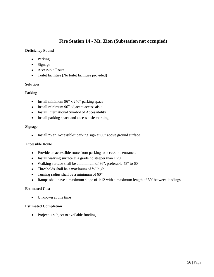## **Fire Station 14 - Mt. Zion (Substation not occupied)**

#### **Deficiency Found**

- Parking
- Signage
- Accessible Route
- Toilet facilities (No toilet facilities provided)

## **Solution**

## Parking

- Install minimum  $96"$  x  $240"$  parking space
- Install minimum 96" adjacent access aisle
- Install International Symbol of Accessibility
- Install parking space and access aisle marking

#### Signage

• Install "Van Accessible" parking sign at 60" above ground surface

#### Accessible Route

- Provide an accessible route from parking to accessible entrance.
- Install walking surface at a grade no steeper than 1:20
- Walking surface shall be a minimum of 36", preferable 48" to 60"
- Thresholds shall be a maximum of  $\frac{1}{2}$ " high
- Turning radius shall be a minimum of 60"
- Ramps shall have a maximum slope of 1:12 with a maximum length of 30' between landings

## **Estimated Cost**

• Unknown at this time

#### **Estimated Completion**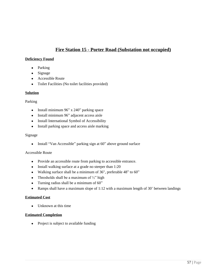## **Fire Station 15 - Porter Road (Substation not occupied)**

#### **Deficiency Found**

- Parking
- Signage
- Accessible Route
- Toilet Facilities (No toilet facilities provided)

#### **Solution**

#### Parking

- Install minimum 96" x 240" parking space
- Install minimum 96" adjacent access aisle
- Install International Symbol of Accessibility
- Install parking space and access aisle marking

#### Signage

• Install "Van Accessible" parking sign at 60" above ground surface

#### Accessible Route

- Provide an accessible route from parking to accessible entrance.
- Install walking surface at a grade no steeper than 1:20
- Walking surface shall be a minimum of 36", preferable 48" to 60"
- Thresholds shall be a maximum of  $\frac{1}{2}$ " high
- Turning radius shall be a minimum of 60"
- Ramps shall have a maximum slope of 1:12 with a maximum length of 30' between landings

#### **Estimated Cost**

• Unknown at this time

#### **Estimated Completion**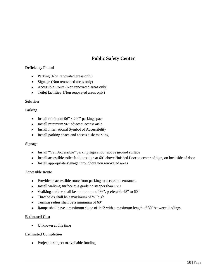## **Public Safety Center**

#### **Deficiency Found**

- Parking (Non renovated areas only)
- Signage (Non renovated areas only)
- Accessible Route (Non renovated areas only)
- Toilet facilities (Non renovated areas only)

#### **Solution**

#### Parking

- Install minimum 96" x 240" parking space
- Install minimum 96" adjacent access aisle
- Install International Symbol of Accessibility
- Install parking space and access aisle marking

#### Signage

- Install "Van Accessible" parking sign at 60" above ground surface
- Install accessible toilet facilities sign at 60" above finished floor to center of sign, on lock side of door
- Install appropriate signage throughout non renovated areas

#### Accessible Route

- Provide an accessible route from parking to accessible entrance.
- Install walking surface at a grade no steeper than 1:20
- Walking surface shall be a minimum of 36", preferable 48" to 60"
- Thresholds shall be a maximum of  $\frac{1}{2}$ " high
- Turning radius shall be a minimum of 60"
- Ramps shall have a maximum slope of 1:12 with a maximum length of 30' between landings

#### **Estimated Cost**

• Unknown at this time

#### **Estimated Completion**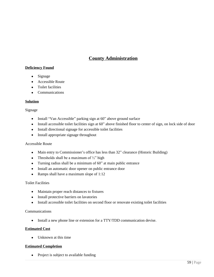## **County Administration**

## **Deficiency Found**

- Signage
- Accessible Route
- Toilet facilities
- Communications

#### **Solution**

#### Signage

- Install "Van Accessible" parking sign at 60" above ground surface
- Install accessible toilet facilities sign at 60" above finished floor to center of sign, on lock side of door
- Install directional signage for accessible toilet facilities
- Install appropriate signage throughout

#### Accessible Route

- Main entry to Commissioner's office has less than 32" clearance (Historic Building)
- Thresholds shall be a maximum of  $\frac{1}{2}$ " high
- Turning radius shall be a minimum of 60" at main public entrance
- Install an automatic door opener on public entrance door
- Ramps shall have a maximum slope of 1:12

#### Toilet Facilities

- Maintain proper reach distances to fixtures
- Install protective barriers on lavatories
- Install accessible toilet facilities on second floor or renovate existing toilet facilities

#### Communications

• Install a new phone line or extension for a TTY/TDD communication devise.

#### **Estimated Cost**

• Unknown at this time

#### **Estimated Completion**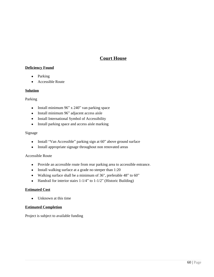## **Court House**

## **Deficiency Found**

- Parking
- Accessible Route

#### **Solution**

#### Parking

- Install minimum 96" x 240" van parking space
- Install minimum 96" adjacent access aisle
- Install International Symbol of Accessibility
- Install parking space and access aisle marking

#### Signage

- Install "Van Accessible" parking sign at 60" above ground surface
- Install appropriate signage throughout non renovated areas

### Accessible Route

- Provide an accessible route from rear parking area to accessible entrance.
- Install walking surface at a grade no steeper than 1:20
- Walking surface shall be a minimum of 36", preferable 48" to 60"
- Handrail for interior stairs 1-1/4" to 1-1/2" (Historic Building)

#### **Estimated Cost**

• Unknown at this time

#### **Estimated Completion**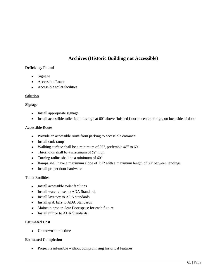## **Archives (Historic Building not Accessible)**

#### **Deficiency Found**

- Signage
- Accessible Route
- Accessible toilet facilities

#### **Solution**

#### Signage

- Install appropriate signage
- Install accessible toilet facilities sign at 60" above finished floor to center of sign, on lock side of door

#### Accessible Route

- Provide an accessible route from parking to accessible entrance.
- Install curb ramp
- Walking surface shall be a minimum of 36", preferable 48" to 60"
- Thresholds shall be a maximum of  $\frac{1}{2}$ " high
- Turning radius shall be a minimum of 60"
- Ramps shall have a maximum slope of 1:12 with a maximum length of 30' between landings
- Install proper door hardware

#### Toilet Facilities

- Install accessible toilet facilities
- Install water closet to ADA Standards
- Install lavatory to ADA standards
- Install grab bars to ADA Standards
- Maintain proper clear floor space for each fixture
- Install mirror to ADA Standards

#### **Estimated Cost**

• Unknown at this time

#### **Estimated Completion**

• Project is infeasible without compromising historical features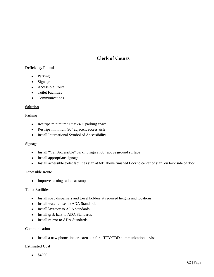## **Clerk of Courts**

## **Deficiency Found**

- Parking
- Signage
- Accessible Route
- **•** Toilet Facilities
- Communications

#### **Solution**

#### Parking

- Restripe minimum 96" x 240" parking space
- Restripe minimum 96" adjacent access aisle
- Install International Symbol of Accessibility

#### Signage

- Install "Van Accessible" parking sign at 60" above ground surface
- Install appropriate signage
- Install accessible toilet facilities sign at 60" above finished floor to center of sign, on lock side of door

#### Accessible Route

Improve turning radius at ramp

#### Toilet Facilities

- Install soap dispensers and towel holders at required heights and locations
- Install water closet to ADA Standards
- Install lavatory to ADA standards
- Install grab bars to ADA Standards
- Install mirror to ADA Standards

#### Communications

• Install a new phone line or extension for a TTY/TDD communication devise.

#### **Estimated Cost**

 $\bullet$  \$4500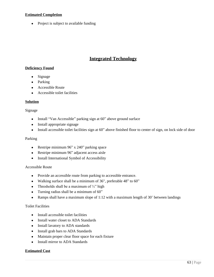### **Estimated Completion**

• Project is subject to available funding

## **Integrated Technology**

## **Deficiency Found**

- Signage
- Parking
- Accessible Route
- Accessible toilet facilities

#### **Solution**

#### Signage

- Install "Van Accessible" parking sign at 60" above ground surface
- Install appropriate signage
- Install accessible toilet facilities sign at 60" above finished floor to center of sign, on lock side of door

#### Parking

- Restripe minimum 96" x 240" parking space
- Restripe minimum 96" adjacent access aisle
- Install International Symbol of Accessibility

#### Accessible Route

- Provide an accessible route from parking to accessible entrance.
- Walking surface shall be a minimum of 36", preferable 48" to 60"
- Thresholds shall be a maximum of  $\frac{1}{2}$ " high
- Turning radius shall be a minimum of 60"
- Ramps shall have a maximum slope of 1:12 with a maximum length of 30' between landings

#### Toilet Facilities

- Install accessible toilet facilities
- Install water closet to ADA Standards
- Install lavatory to ADA standards
- Install grab bars to ADA Standards
- Maintain proper clear floor space for each fixture
- Install mirror to ADA Standards

#### **Estimated Cost**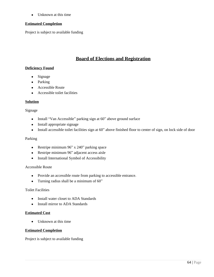• Unknown at this time

#### **Estimated Completion**

Project is subject to available funding

## **Board of Elections and Registration**

#### **Deficiency Found**

- Signage
- Parking
- Accessible Route
- Accessible toilet facilities

#### **Solution**

#### Signage

- Install "Van Accessible" parking sign at 60" above ground surface
- Install appropriate signage
- Install accessible toilet facilities sign at 60" above finished floor to center of sign, on lock side of door

#### Parking

- Restripe minimum 96" x 240" parking space
- Restripe minimum 96" adjacent access aisle
- Install International Symbol of Accessibility

#### Accessible Route

- Provide an accessible route from parking to accessible entrance.
- Turning radius shall be a minimum of 60"

#### Toilet Facilities

- Install water closet to ADA Standards
- Install mirror to ADA Standards

#### **Estimated Cost**

• Unknown at this time

#### **Estimated Completion**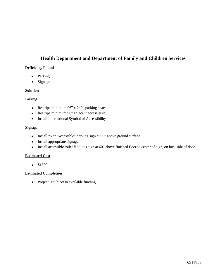## **Health Department and Department of Family and Children Services**

### **Deficiency Found**

- Parking
- Signage

#### **Solution**

## Parking

- Restripe minimum 96" x 240" parking space
- Restripe minimum 96" adjacent access aisle
- Install International Symbol of Accessibility

#### Signage

- Install "Van Accessible" parking sign at 60" above ground surface
- Install appropriate signage
- Install accessible toilet facilities sign at 60" above finished floor to center of sign, on lock side of door

## **Estimated Cost**

 $•$  \$1500

### **Estimated Completion**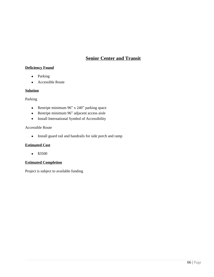## **Senior Center and Transit**

## **Deficiency Found**

- Parking
- Accessible Route

#### **Solution**

Parking

- Restripe minimum 96" x 240" parking space
- Restripe minimum 96" adjacent access aisle
- Install International Symbol of Accessibility

#### Accessible Route

• Install guard rail and handrails for side porch and ramp

#### **Estimated Cost**

 $•$  \$3500

#### **Estimated Completion**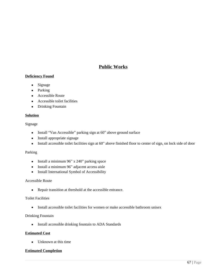## **Public Works**

## **Deficiency Found**

- Signage
- Parking
- Accessible Route
- Accessible toilet facilities
- Drinking Fountain

#### **Solution**

Signage

- Install "Van Accessible" parking sign at 60" above ground surface
- Install appropriate signage
- Install accessible toilet facilities sign at 60" above finished floor to center of sign, on lock side of door

#### Parking

- Install a minimum  $96"$  x  $240"$  parking space
- Install a minimum 96" adjacent access aisle
- Install International Symbol of Accessibility

#### Accessible Route

Repair transition at threshold at the accessible entrance.

#### Toilet Facilities

• Install accessible toilet facilities for women or make accessible bathroom unisex

#### Drinking Fountain

• Install accessible drinking fountain to ADA Standards

### **Estimated Cost**

• Unknown at this time

#### **Estimated Completion**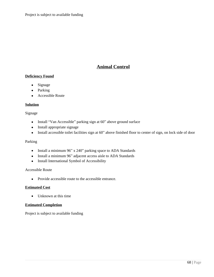## **Animal Control**

## **Deficiency Found**

- Signage
- Parking
- Accessible Route

#### **Solution**

#### Signage

- Install "Van Accessible" parking sign at 60" above ground surface
- Install appropriate signage
- Install accessible toilet facilities sign at 60" above finished floor to center of sign, on lock side of door

#### Parking

- Install a minimum 96" x 240" parking space to ADA Standards
- Install a minimum 96" adjacent access aisle to ADA Standards
- Install International Symbol of Accessibility

#### Accessible Route

• Provide accessible route to the accessible entrance.

#### **Estimated Cost**

• Unknown at this time

#### **Estimated Completion**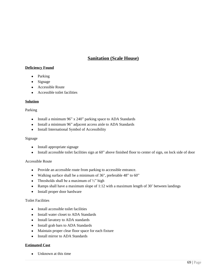## **Sanitation (Scale House)**

### **Deficiency Found**

- Parking
- Signage
- Accessible Route
- Accessible toilet facilities

#### **Solution**

#### Parking

- Install a minimum 96" x 240" parking space to ADA Standards
- Install a minimum 96" adjacent access aisle to ADA Standards
- Install International Symbol of Accessibility

#### Signage

- Install appropriate signage
- Install accessible toilet facilities sign at 60" above finished floor to center of sign, on lock side of door

#### Accessible Route

- Provide an accessible route from parking to accessible entrance.
- Walking surface shall be a minimum of 36", preferable 48" to 60"
- Thresholds shall be a maximum of  $\frac{1}{2}$ " high
- Ramps shall have a maximum slope of 1:12 with a maximum length of 30' between landings
- Install proper door hardware

#### Toilet Facilities

- Install accessible toilet facilities
- Install water closet to ADA Standards
- Install lavatory to ADA standards
- Install grab bars to ADA Standards
- Maintain proper clear floor space for each fixture
- Install mirror to ADA Standards

#### **Estimated Cost**

• Unknown at this time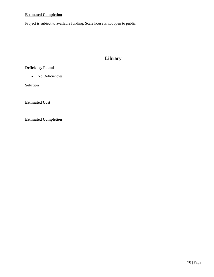## **Estimated Completion**

Project is subject to available funding. Scale house is not open to public.

# **Library**

## **Deficiency Found**

• No Deficiencies

**Solution**

**Estimated Cost**

**Estimated Completion**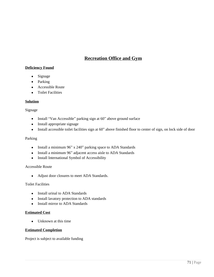## **Recreation Office and Gym**

## **Deficiency Found**

- Signage
- Parking
- Accessible Route
- Toilet Facilities

#### **Solution**

#### Signage

- Install "Van Accessible" parking sign at 60" above ground surface
- Install appropriate signage
- Install accessible toilet facilities sign at 60" above finished floor to center of sign, on lock side of door

#### Parking

- Install a minimum 96" x 240" parking space to ADA Standards
- Install a minimum 96" adjacent access aisle to ADA Standards
- Install International Symbol of Accessibility

#### Accessible Route

Adjust door closures to meet ADA Standards.

#### Toilet Facilities

- Install urinal to ADA Standards
- Install lavatory protection to ADA standards
- Install mirror to ADA Standards

#### **Estimated Cost**

• Unknown at this time

#### **Estimated Completion**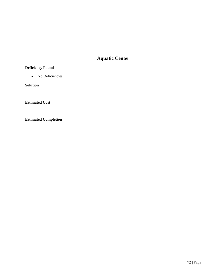# **Aquatic Center**

## **Deficiency Found**

• No Deficiencies

**Solution**

**Estimated Cost**

**Estimated Completion**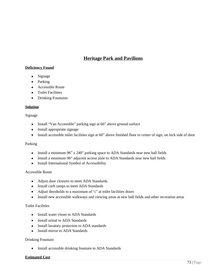# **Heritage Park and Pavilions**

# **Deficiency Found**

- Signage
- Parking
- Accessible Route
- **•** Toilet Facilities
- Drinking Fountains

## **Solution**

## Signage

- Install "Van Accessible" parking sign at 60" above ground surface
- Install appropriate signage
- Install accessible toilet facilities sign at 60" above finished floor to center of sign, on lock side of door

## Parking

- Install a minimum 96" x 240" parking space to ADA Standards near new ball fields
- Install a minimum 96" adjacent access aisle to ADA Standards near new ball fields
- Install International Symbol of Accessibility

#### Accessible Route

- Adjust door closures to meet ADA Standards.
- Install curb ramps to meet ADA Standards
- Adjust thresholds to a maximum of  $\frac{1}{2}$ " at toilet facilities doors
- Install new accessible walkways and viewing areas at new ball fields and other recreation areas

## Toilet Facilities

- Install water closet to ADA Standards
- Install urinal to ADA Standards
- Install lavatory protection to ADA standards
- Install mirror to ADA Standards

#### Drinking Fountain

• Install accessible drinking fountain to ADA Standards

#### **Estimated Cost**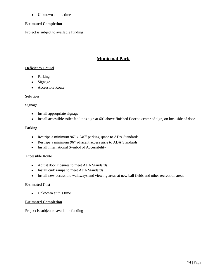• Unknown at this time

## **Estimated Completion**

Project is subject to available funding

# **Municipal Park**

# **Deficiency Found**

- Parking
- Signage
- Accessible Route

## **Solution**

## Signage

- Install appropriate signage
- Install accessible toilet facilities sign at 60" above finished floor to center of sign, on lock side of door

## Parking

- Restripe a minimum 96" x 240" parking space to ADA Standards
- Restripe a minimum 96" adjacent access aisle to ADA Standards
- Install International Symbol of Accessibility

## Accessible Route

- Adjust door closures to meet ADA Standards.
- Install curb ramps to meet ADA Standards
- Install new accessible walkways and viewing areas at new ball fields and other recreation areas

## **Estimated Cost**

• Unknown at this time

## **Estimated Completion**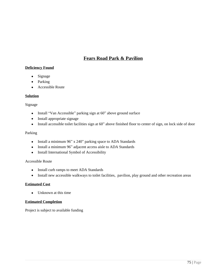# **Fears Road Park & Pavilion**

# **Deficiency Found**

- Signage
- Parking
- Accessible Route

## **Solution**

## Signage

- Install "Van Accessible" parking sign at 60" above ground surface
- Install appropriate signage
- Install accessible toilet facilities sign at 60" above finished floor to center of sign, on lock side of door

## Parking

- Install a minimum  $96$ " x  $240$ " parking space to ADA Standards
- Install a minimum 96" adjacent access aisle to ADA Standards
- Install International Symbol of Accessibility

## Accessible Route

- Install curb ramps to meet ADA Standards
- Install new accessible walkways to toilet facilities, pavilion, play ground and other recreation areas

## **Estimated Cost**

• Unknown at this time

## **Estimated Completion**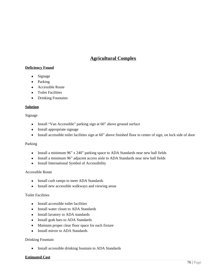# **Agricultural Complex**

# **Deficiency Found**

- Signage
- Parking
- Accessible Route
- Toilet Facilities
- Drinking Fountains

#### **Solution**

#### Signage

- Install "Van Accessible" parking sign at 60" above ground surface
- Install appropriate signage
- Install accessible toilet facilities sign at 60" above finished floor to center of sign, on lock side of door

## Parking

- Install a minimum 96" x 240" parking space to ADA Standards near new ball fields
- Install a minimum 96" adjacent access aisle to ADA Standards near new ball fields
- Install International Symbol of Accessibility

#### Accessible Route

- Install curb ramps to meet ADA Standards
- Install new accessible walkways and viewing areas

#### Toilet Facilities

- Install accessible toilet facilities
- Install water closet to ADA Standards
- Install lavatory to ADA standards
- Install grab bars to ADA Standards
- Maintain proper clear floor space for each fixture
- Install mirror to ADA Standards

#### Drinking Fountain

• Install accessible drinking fountain to ADA Standards

#### **Estimated Cost**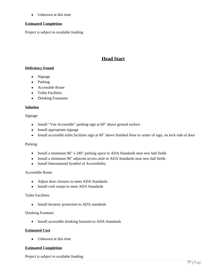• Unknown at this time

## **Estimated Completion**

Project is subject to available funding

# **Head Start**

# **Deficiency Found**

- Signage
- Parking
- Accessible Route
- Toilet Facilities
- Drinking Fountains

## **Solution**

#### Signage

- Install "Van Accessible" parking sign at 60" above ground surface
- Install appropriate signage
- Install accessible toilet facilities sign at 60" above finished floor to center of sign, on lock side of door

## Parking

- Install a minimum 96" x 240" parking space to ADA Standards near new ball fields
- Install a minimum 96" adjacent access aisle to ADA Standards near new ball fields
- Install International Symbol of Accessibility

## Accessible Route

- Adjust door closures to meet ADA Standards.
- Install curb ramps to meet ADA Standards

## Toilet Facilities

• Install lavatory protection to ADA standards

## Drinking Fountain

• Install accessible drinking fountain to ADA Standards

## **Estimated Cost**

• Unknown at this time

## **Estimated Completion**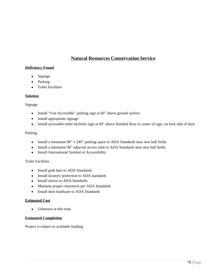# **Natural Resources Conservation Service**

# **Deficiency Found**

- Signage
- Parking
- Toilet Facilities

## **Solution**

#### Signage

- Install "Van Accessible" parking sign at 60" above ground surface
- Install appropriate signage
- Install accessible toilet facilities sign at 60" above finished floor to center of sign, on lock side of door

## Parking

- Install a minimum 96" x 240" parking space to ADA Standards near new ball fields
- Install a minimum 96" adjacent access aisle to ADA Standards near new ball fields
- Install International Symbol of Accessibility

## Toilet Facilities

- Install grab bars to ADA Standards
- Install lavatory protection to ADA standards
- Install mirror to ADA Standards
- Maintain proper clearances per ADA Standards
- Install door hardware to ADA Standards

## **Estimated Cost**

• Unknown at this time

#### **Estimated Completion**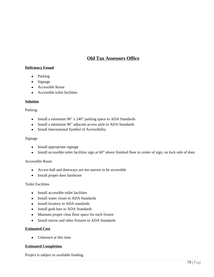# **Old Tax Assessors Office**

# **Deficiency Found**

- Parking
- Signage
- Accessible Route
- Accessible toilet facilities

## **Solution**

#### Parking

- Install a minimum 96" x 240" parking space to ADA Standards
- Install a minimum 96" adjacent access aisle to ADA Standards
- Install International Symbol of Accessibility

#### Signage

- Install appropriate signage
- Install accessible toilet facilities sign at 60" above finished floor to center of sign, on lock side of door

## Accessible Route

- Access hall and doorways are too narrow to be accessible
- Install proper door hardware

## Toilet Facilities

- Install accessible toilet facilities
- Install water closet to ADA Standards
- Install lavatory to ADA standards
- Install grab bars to ADA Standards
- Maintain proper clear floor space for each fixture
- Install mirror and other fixtures to ADA Standards

## **Estimated Cost**

• Unknown at this time

## **Estimated Completion**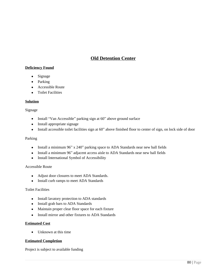# **Old Detention Center**

# **Deficiency Found**

- Signage
- Parking
- Accessible Route
- Toilet Facilities

#### **Solution**

#### Signage

- Install "Van Accessible" parking sign at 60" above ground surface
- Install appropriate signage
- Install accessible toilet facilities sign at 60" above finished floor to center of sign, on lock side of door

#### Parking

- Install a minimum 96" x 240" parking space to ADA Standards near new ball fields
- Install a minimum 96" adjacent access aisle to ADA Standards near new ball fields
- Install International Symbol of Accessibility

## Accessible Route

- Adjust door closures to meet ADA Standards.
- Install curb ramps to meet ADA Standards

## Toilet Facilities

- Install lavatory protection to ADA standards
- Install grab bars to ADA Standards
- Maintain proper clear floor space for each fixture
- Install mirror and other fixtures to ADA Standards

## **Estimated Cost**

• Unknown at this time

## **Estimated Completion**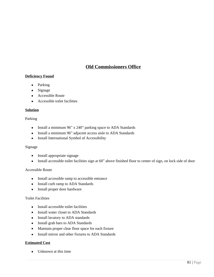# **Old Commissioners Office**

# **Deficiency Found**

- Parking
- Signage
- Accessible Route
- Accessible toilet facilities

#### **Solution**

#### Parking

- Install a minimum  $96$ " x  $240$ " parking space to ADA Standards
- Install a minimum 96" adjacent access aisle to ADA Standards
- Install International Symbol of Accessibility

#### Signage

- Install appropriate signage
- Install accessible toilet facilities sign at 60" above finished floor to center of sign, on lock side of door

## Accessible Route

- Install accessible ramp to accessible entrance
- Install curb ramp to ADA Standards
- Install proper door hardware

#### Toilet Facilities

- Install accessible toilet facilities
- Install water closet to ADA Standards
- Install lavatory to ADA standards
- Install grab bars to ADA Standards
- Maintain proper clear floor space for each fixture
- Install mirror and other fixtures to ADA Standards

#### **Estimated Cost**

• Unknown at this time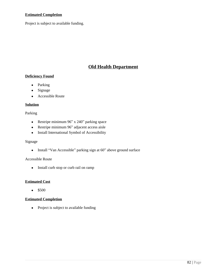## **Estimated Completion**

Project is subject to available funding.

# **Old Health Department**

# **Deficiency Found**

- Parking
- Signage
- Accessible Route

#### **Solution**

Parking

- Restripe minimum 96" x 240" parking space
- Restripe minimum 96" adjacent access aisle
- Install International Symbol of Accessibility

## Signage

• Install "Van Accessible" parking sign at 60" above ground surface

## Accessible Route

• Install curb stop or curb rail on ramp

## **Estimated Cost**

 $•$  \$500

# **Estimated Completion**